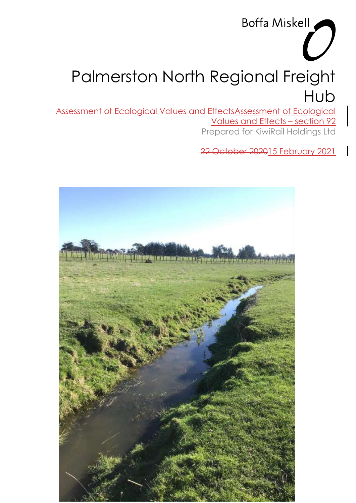# Palmerston North Regional Freight Hub

Assessment of Ecological Values and EffectsAssessment of Ecological Values and Effects – section 92 Prepared for KiwiRail Holdings Ltd

22 October 202015 February 2021

Boffa Miskell

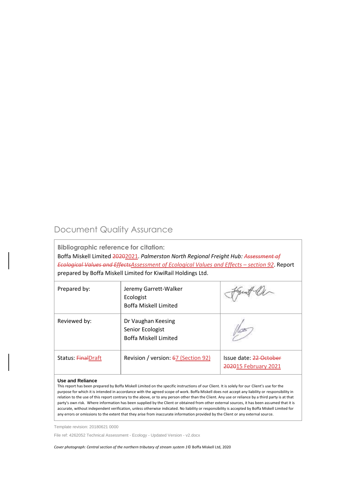## Document Quality Assurance

**Bibliographic reference for citation:**

Boffa Miskell Limited 20202021. *Palmerston North Regional Freight Hub: Assessment of Ecological Values and EffectsAssessment of Ecological Values and Effects – section 92. Report* prepared by Boffa Miskell Limited for KiwiRail Holdings Ltd.

| Prepared by:       | Jeremy Garrett-Walker<br>Ecologist<br>Boffa Miskell Limited     |                                                |
|--------------------|-----------------------------------------------------------------|------------------------------------------------|
| Reviewed by:       | Dr Vaughan Keesing<br>Senior Ecologist<br>Boffa Miskell Limited |                                                |
| Status: FinalDraft | Revision / version: 67 (Section 92)                             | Issue date: 22 October<br>202015 February 2021 |

#### **Use and Reliance**

This report has been prepared by Boffa Miskell Limited on the specific instructions of our Client. It is solely for our Client's use for the purpose for which it is intended in accordance with the agreed scope of work. Boffa Miskell does not accept any liability or responsibility in relation to the use of this report contrary to the above, or to any person other than the Client. Any use or reliance by a third party is at that party's own risk. Where information has been supplied by the Client or obtained from other external sources, it has been assumed that it is accurate, without independent verification, unless otherwise indicated. No liability or responsibility is accepted by Boffa Miskell Limited for any errors or omissions to the extent that they arise from inaccurate information provided by the Client or any external source.

Template revision: 20180621 0000

File ref: 4262052 Technical Assessment - Ecology - Updated Version - v2.docx

*Cover photograph: Central section of the northern tributary of stream system 1*© Boffa Miskell Ltd, 2020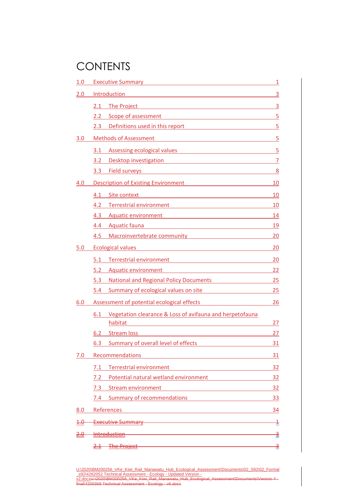## **CONTENTS**

| 1.0 | Executive Summary Management Communications and Communications and Communications and Communications and Communications are the Communications of the Communications and Communications and Communications are controlled and               | 1              |
|-----|---------------------------------------------------------------------------------------------------------------------------------------------------------------------------------------------------------------------------------------------|----------------|
| 2.0 | Introduction<br><u> 1989 - Andrea Stadt, fransk politiker (d. 1989)</u>                                                                                                                                                                     | 3              |
|     | 2.1<br>The Project <b>Example 2018</b> The Project <b>CONSULAR THE PROJECT AND RESIDENCE</b>                                                                                                                                                | $\overline{3}$ |
|     | 2.2 Scope of assessment 5                                                                                                                                                                                                                   |                |
|     | Definitions used in this report 5<br>2.3                                                                                                                                                                                                    |                |
| 3.0 | Methods of Assessment Methods of Assessment                                                                                                                                                                                                 | 5              |
|     | <b>Assessing ecological values</b><br>3.1<br><u> 1989 - Andrea Andrew Maria (h. 1989).</u>                                                                                                                                                  | 5              |
|     | 3.2 Desktop investigation 7                                                                                                                                                                                                                 |                |
|     | 3.3 Field surveys and the state of the state of the state of the state of the state of the state of the state of the state of the state of the state of the state of the state of the state of the state of the state of the s              | 8              |
| 4.0 | Description of Existing Environment Management Assembly and Theorem and Theorem and Theorem and Theorem and Theorem                                                                                                                         | 10             |
|     | 4.1<br>Site context<br><u> 1980 - Andrea Barbara, poeta espainiar político e a filosofono de la provincia de la provincia de la provincia</u>                                                                                               | 10             |
|     | Terrestrial environment <b>Constanting Constanting Constanting Constanting Constanting Constanting Constanting Constanting Constanting Constanting Constanting Constanting Constanting Constanting Constanting Constanting Const</b><br>4.2 | 10             |
|     | 4.3<br>Aquatic environment<br><u> 1989 - Johann Stein, marwolaethau a bhann an t-Amhain an t-Amhain an t-Amhain an t-Amhain an t-Amhain an t-A</u>                                                                                          | 14             |
|     | 4.4 Aquatic fauna <b>Accepted Accepts</b> Aguatic Fauna Accepts Aguatic Fauna Aguatic Fauna Accepts Aguation Accepts A                                                                                                                      | <u>19</u>      |
|     | Macroinvertebrate community Macroinvertebrate community<br>4.5                                                                                                                                                                              | 20             |
| 5.0 | Ecological values and the contract of the contract of the contract of the contract of the contract of the contract of the contract of the contract of the contract of the contract of the contract of the contract of the cont              | 20             |
|     | Terrestrial environment<br>5.1                                                                                                                                                                                                              | 20             |
|     | 5.2<br>Aquatic environment<br><u> 1989 - Johann Barn, mars eta bainar eta baina eta baina eta baina eta baina eta baina eta baina eta baina e</u>                                                                                           | 22             |
|     | 5.3 National and Regional Policy Documents 25                                                                                                                                                                                               |                |
|     | 5.4 Summary of ecological values on site                                                                                                                                                                                                    | 25             |
| 6.0 | Assessment of potential ecological effects <b>Assessment</b> of potential ecological effects                                                                                                                                                | 26             |
|     | Vegetation clearance & Loss of avifauna and herpetofauna<br>6.1<br>habitat                                                                                                                                                                  | 27             |
|     | 6.2 Stream loss                                                                                                                                                                                                                             | 27             |
|     | <b>Summary of overall level of effects</b><br>6.3                                                                                                                                                                                           | <u>31</u>      |
| 7.0 | Recommendations                                                                                                                                                                                                                             | 31             |
|     | <b>Terrestrial environment</b><br>7.1                                                                                                                                                                                                       | 32             |
|     | Potential natural wetland environment<br>7.2                                                                                                                                                                                                | 32             |
|     | Stream environment<br>7.3<br><u> 1989 - Jan Barbara Barat, prima popular popular popular popular popular popular popular popular popular popu</u>                                                                                           | 32             |
|     | 7.4 Summary of recommendations                                                                                                                                                                                                              | <u>33</u>      |
| 8.0 | References et al. 2010 and 2010 and 2010 and 2010 and 2010 and 2010 and 2010 and 2010 and 2010 and 2010 and 20                                                                                                                              | 34             |
| 4.0 | Executive Summary <b>Executive</b> Summary                                                                                                                                                                                                  | $\overline{1}$ |
|     | <u> 1989 - Johann Stoff, deutscher Stoff, der Stoff, der Stoff, der Stoff, der Stoff, der Stoff, der Stoff, der S</u><br><del>-Introduction</del>                                                                                           | з              |
|     | 2.1 The Project 2.1 The Project                                                                                                                                                                                                             | ₹              |
|     |                                                                                                                                                                                                                                             |                |

U:\2020\BM200256\_VKe\_Kiwi\_Rail\_Manawatu\_Hub\_Ecological\_Assessment\Documents\02\_S92\02\_Formal \_s92\4262052 Technical Assessment - Ecology - Updated Version v2.docxU:\2020\BM200256\_VKe\_Kiwi\_Rail\_Manawatu\_Hub\_Ecological\_Assessment\Documents\Version 4 final\4200369 Technical Assessment - Ecology - v6.docx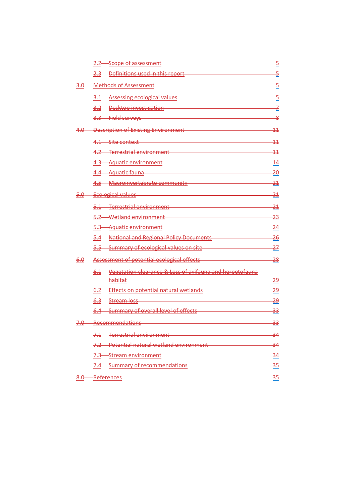|                  | 2.2 Scope of assessment                                                                                                                                                                                                        | $\overline{\mathbf{5}}$ |
|------------------|--------------------------------------------------------------------------------------------------------------------------------------------------------------------------------------------------------------------------------|-------------------------|
|                  | 2.3 Definitions used in this report                                                                                                                                                                                            | $\overline{5}$          |
| 3.0—             | Methods of Assessment                                                                                                                                                                                                          | $\overline{5}$          |
|                  | 3.1 Assessing ecological values                                                                                                                                                                                                | -5                      |
|                  | 3.2 Desktop investigation                                                                                                                                                                                                      | 7                       |
|                  | <u> 1980 - Johann Barn, mars ann an t-Amhain an t-Amhain an t-Amhain an t-Amhain an t-Amhain an t-Amhain an t-A</u><br>3.3 Field surveys                                                                                       | <u>용</u>                |
| 4.0—             | -Description of Existing Environment                                                                                                                                                                                           | $\overline{11}$         |
|                  | 4.1 Site context Allen Contract Contract Contract Contract Contract Contract Contract Contract Contract Contract Contract Contract Contract Contract Contract Contract Contract Contract Contract Contract Contract Contract C | $\overline{11}$         |
|                  | 4.2 Terrestrial environment                                                                                                                                                                                                    | $\overline{11}$         |
|                  | 4.3 Aquatic environment                                                                                                                                                                                                        | $\overline{14}$         |
|                  | 4.4 Aquatic fauna entrancement de la contrata de la contrata de la contrata de la contrata de la contrata de l                                                                                                                 | $-20$                   |
|                  | 4.5 Macroinvertebrate community                                                                                                                                                                                                | $\frac{21}{5}$          |
| <del>5.0 –</del> | Ecological values                                                                                                                                                                                                              | $\frac{21}{1}$          |
|                  | 5.1 Terrestrial environment<br>Terrestrial environment                                                                                                                                                                         | $-21$                   |
|                  | 5.2 Wetland environment                                                                                                                                                                                                        | 23                      |
|                  | 5.3 Aquatic environment                                                                                                                                                                                                        | $-24$                   |
|                  | 5.4 National and Regional Policy Documents                                                                                                                                                                                     | $-26$                   |
|                  | 5.5 Summary of ecological values on site                                                                                                                                                                                       | $-27$                   |
| 6.0—             | Assessment of potential ecological effects                                                                                                                                                                                     | $\frac{28}{5}$          |
|                  | 6.1 Vegetation clearance & Loss of avifauna and herpetofauna                                                                                                                                                                   |                         |
|                  | habitat-                                                                                                                                                                                                                       | <u> 29</u>              |
|                  | 6.2 Effects on potential natural wetlands                                                                                                                                                                                      | <u> 29</u>              |
|                  | 6.3 Stream loss 3.0 and 3.0 and 3.0 and 3.0 and 3.0 and 3.0 and 3.0 and 3.0 and 3.0 and 3.0 and 3.0 and 3.0 and 3.0 and 3.0 and 3.0 and 3.0 and 3.0 and 3.0 and 3.0 and 3.0 and 3.0 and 3.0 and 3.0 and 3.0 and 3.0 and 3.0 an | <u> 29</u>              |
|                  | 6.4 Summary of overall level of effects                                                                                                                                                                                        | $\frac{33}{2}$          |
| 7.0-             | Recommendations <b>National</b>                                                                                                                                                                                                | 33                      |
|                  | Terrestrial environment<br><del>7.1 -</del>                                                                                                                                                                                    | 34                      |
|                  | -Potential natural wetland environment-                                                                                                                                                                                        | $\frac{34}{5}$          |
|                  | 7.3 Stream environment                                                                                                                                                                                                         | $\frac{34}{5}$          |
|                  | 7.4 Summary of recommendations                                                                                                                                                                                                 | $\frac{35}{5}$          |
| 8.0              | References                                                                                                                                                                                                                     | 35                      |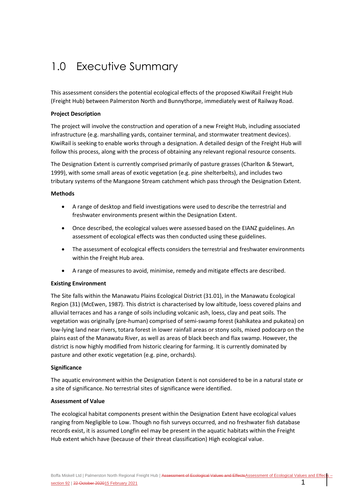## <span id="page-4-0"></span>1.0 Executive Summary

This assessment considers the potential ecological effects of the proposed KiwiRail Freight Hub (Freight Hub) between Palmerston North and Bunnythorpe, immediately west of Railway Road.

#### **Project Description**

The project will involve the construction and operation of a new Freight Hub, including associated infrastructure (e.g. marshalling yards, container terminal, and stormwater treatment devices). KiwiRail is seeking to enable works through a designation. A detailed design of the Freight Hub will follow this process, along with the process of obtaining any relevant regional resource consents.

The Designation Extent is currently comprised primarily of pasture grasses (Charlton & Stewart, 1999), with some small areas of exotic vegetation (e.g. pine shelterbelts), and includes two tributary systems of the Mangaone Stream catchment which pass through the Designation Extent.

#### **Methods**

- A range of desktop and field investigations were used to describe the terrestrial and freshwater environments present within the Designation Extent.
- Once described, the ecological values were assessed based on the EIANZ guidelines. An assessment of ecological effects was then conducted using these guidelines.
- The assessment of ecological effects considers the terrestrial and freshwater environments within the Freight Hub area.
- A range of measures to avoid, minimise, remedy and mitigate effects are described.

#### **Existing Environment**

The Site falls within the Manawatu Plains Ecological District (31.01), in the Manawatu Ecological Region (31) (McEwen, 1987). This district is characterised by low altitude, loess covered plains and alluvial terraces and has a range of soils including volcanic ash, loess, clay and peat soils. The vegetation was originally (pre-human) comprised of semi-swamp forest (kahikatea and pukatea) on low-lying land near rivers, totara forest in lower rainfall areas or stony soils, mixed podocarp on the plains east of the Manawatu River, as well as areas of black beech and flax swamp. However, the district is now highly modified from historic clearing for farming. It is currently dominated by pasture and other exotic vegetation (e.g. pine, orchards).

#### **Significance**

The aquatic environment within the Designation Extent is not considered to be in a natural state or a site of significance. No terrestrial sites of significance were identified.

#### **Assessment of Value**

The ecological habitat components present within the Designation Extent have ecological values ranging from Negligible to Low. Though no fish surveys occurred, and no freshwater fish database records exist, it is assumed Longfin eel may be present in the aquatic habitats within the Freight Hub extent which have (because of their threat classification) High ecological value.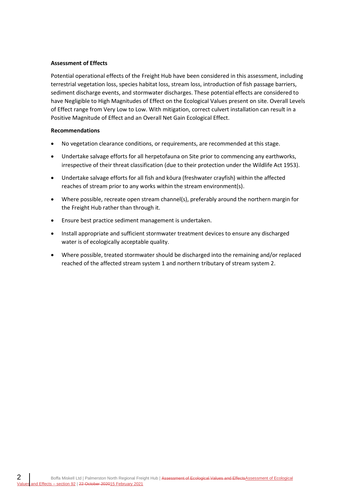#### **Assessment of Effects**

Potential operational effects of the Freight Hub have been considered in this assessment, including terrestrial vegetation loss, species habitat loss, stream loss, introduction of fish passage barriers, sediment discharge events, and stormwater discharges. These potential effects are considered to have Negligible to High Magnitudes of Effect on the Ecological Values present on site. Overall Levels of Effect range from Very Low to Low. With mitigation, correct culvert installation can result in a Positive Magnitude of Effect and an Overall Net Gain Ecological Effect.

#### **Recommendations**

- No vegetation clearance conditions, or requirements, are recommended at this stage.
- Undertake salvage efforts for all herpetofauna on Site prior to commencing any earthworks, irrespective of their threat classification (due to their protection under the Wildlife Act 1953).
- Undertake salvage efforts for all fish and kōura (freshwater crayfish) within the affected reaches of stream prior to any works within the stream environment(s).
- Where possible, recreate open stream channel(s), preferably around the northern margin for the Freight Hub rather than through it.
- Ensure best practice sediment management is undertaken.
- Install appropriate and sufficient stormwater treatment devices to ensure any discharged water is of ecologically acceptable quality.
- Where possible, treated stormwater should be discharged into the remaining and/or replaced reached of the affected stream system 1 and northern tributary of stream system 2.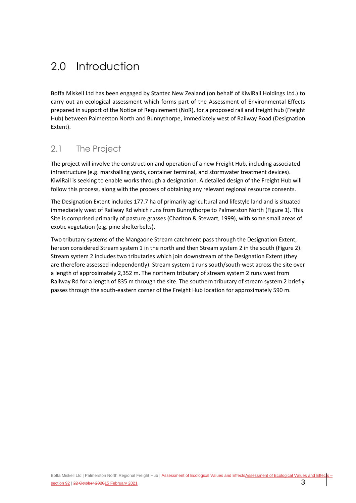## <span id="page-6-0"></span>2.0 Introduction

Boffa Miskell Ltd has been engaged by Stantec New Zealand (on behalf of KiwiRail Holdings Ltd.) to carry out an ecological assessment which forms part of the Assessment of Environmental Effects prepared in support of the Notice of Requirement (NoR), for a proposed rail and freight hub (Freight Hub) between Palmerston North and Bunnythorpe, immediately west of Railway Road (Designation Extent).

## <span id="page-6-1"></span>2.1 The Project

The project will involve the construction and operation of a new Freight Hub, including associated infrastructure (e.g. marshalling yards, container terminal, and stormwater treatment devices). KiwiRail is seeking to enable works through a designation. A detailed design of the Freight Hub will follow this process, along with the process of obtaining any relevant regional resource consents.

The Designation Extent includes 177.7 ha of primarily agricultural and lifestyle land and is situated immediately west of Railway Rd which runs from Bunnythorpe to Palmerston North [\(Figure 1\)](#page-7-0). This Site is comprised primarily of pasture grasses (Charlton & Stewart, 1999), with some small areas of exotic vegetation (e.g. pine shelterbelts).

Two tributary systems of the Mangaone Stream catchment pass through the Designation Extent, hereon considered Stream system 1 in the north and then Stream system 2 in the south [\(Figure 2\)](#page-21-0). Stream system 2 includes two tributaries which join downstream of the Designation Extent (they are therefore assessed independently). Stream system 1 runs south/south-west across the site over a length of approximately 2,352 m. The northern tributary of stream system 2 runs west from Railway Rd for a length of 835 m through the site. The southern tributary of stream system 2 briefly passes through the south-eastern corner of the Freight Hub location for approximately 590 m.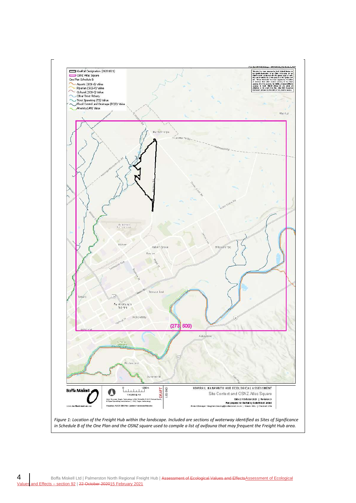<span id="page-7-0"></span>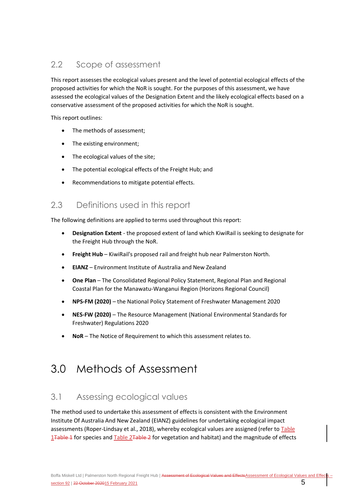## <span id="page-8-0"></span>2.2 Scope of assessment

This report assesses the ecological values present and the level of potential ecological effects of the proposed activities for which the NoR is sought. For the purposes of this assessment, we have assessed the ecological values of the Designation Extent and the likely ecological effects based on a conservative assessment of the proposed activities for which the NoR is sought.

This report outlines:

- The methods of assessment:
- The existing environment;
- The ecological values of the site;
- The potential ecological effects of the Freight Hub; and
- Recommendations to mitigate potential effects.

## <span id="page-8-1"></span>2.3 Definitions used in this report

The following definitions are applied to terms used throughout this report:

- **Designation Extent** the proposed extent of land which KiwiRail is seeking to designate for the Freight Hub through the NoR.
- **Freight Hub** KiwiRail's proposed rail and freight hub near Palmerston North.
- **EIANZ** Environment Institute of Australia and New Zealand
- **One Plan** The Consolidated Regional Policy Statement, Regional Plan and Regional Coastal Plan for the Manawatu-Wanganui Region (Horizons Regional Council)
- **NPS-FM (2020)** the National Policy Statement of Freshwater Management 2020
- **NES-FW (2020)** The Resource Management (National Environmental Standards for Freshwater) Regulations 2020
- <span id="page-8-2"></span>• **NoR** – The Notice of Requirement to which this assessment relates to.

## 3.0 Methods of Assessment

## <span id="page-8-3"></span>3.1 Assessing ecological values

The method used to undertake this assessment of effects is consistent with the Environment Institute Of Australia And New Zealand (EIANZ) guidelines for undertaking ecological impact assessments (Roper-Lindsay et al., 2018), whereby ecological values are assigned (refer to [Table](#page-9-0) 1<del>Table 1</del> for species and Table 2<del>Table 2</del> for vegetation and habitat) and the magnitude of effects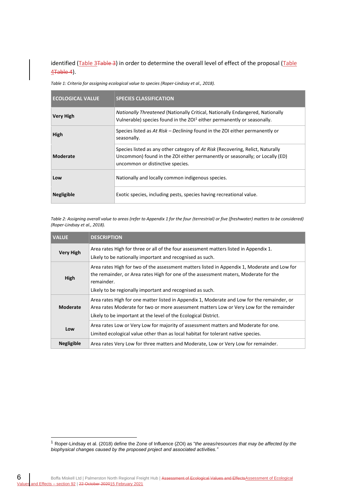identified [\(Table 3Table 3\)](#page-10-1) in order to determine the overall level of effect of the proposal (Table  $4$ Table 4).

<span id="page-9-0"></span>*Table 1: Criteria for assigning ecological value to species (Roper-Lindsay et al., 2018).*

| <b>ECOLOGICAL VALUE</b> | <b>SPECIES CLASSIFICATION</b>                                                                                                                                                                      |
|-------------------------|----------------------------------------------------------------------------------------------------------------------------------------------------------------------------------------------------|
| <b>Very High</b>        | <b>Nationally Threatened (Nationally Critical, Nationally Endangered, Nationally</b><br>Vulnerable) species found in the ZOI <sup>1</sup> either permanently or seasonally.                        |
| High                    | Species listed as At Risk - Declining found in the ZOI either permanently or<br>seasonally.                                                                                                        |
| Moderate                | Species listed as any other category of At Risk (Recovering, Relict, Naturally<br>Uncommon) found in the ZOI either permanently or seasonally; or Locally (ED)<br>uncommon or distinctive species. |
| Low                     | Nationally and locally common indigenous species.                                                                                                                                                  |
| <b>Negligible</b>       | Exotic species, including pests, species having recreational value.                                                                                                                                |

<span id="page-9-1"></span>*Table 2: Assigning overall value to areas (refer to Appendix 1 for the four (terrestrial) or five (freshwater) matters to be considered) (Roper-Lindsay et al., 2018).*

| <b>VALUE</b>      | <b>DESCRIPTION</b>                                                                                                                                                                                                                                              |
|-------------------|-----------------------------------------------------------------------------------------------------------------------------------------------------------------------------------------------------------------------------------------------------------------|
| <b>Very High</b>  | Area rates High for three or all of the four assessment matters listed in Appendix 1.<br>Likely to be nationally important and recognised as such.                                                                                                              |
| High              | Area rates High for two of the assessment matters listed in Appendix 1, Moderate and Low for<br>the remainder, or Area rates High for one of the assessment maters, Moderate for the<br>remainder.<br>Likely to be regionally important and recognised as such. |
| Moderate          | Area rates High for one matter listed in Appendix 1, Moderate and Low for the remainder, or<br>Area rates Moderate for two or more assessment matters Low or Very Low for the remainder<br>Likely to be important at the level of the Ecological District.      |
| Low               | Area rates Low or Very Low for majority of assessment matters and Moderate for one.<br>Limited ecological value other than as local habitat for tolerant native species.                                                                                        |
| <b>Negligible</b> | Area rates Very Low for three matters and Moderate, Low or Very Low for remainder.                                                                                                                                                                              |

<sup>1</sup> Roper-Lindsay et al. (2018) define the Zone of Influence (ZOI) as "*the areas/resources that may be affected by the biophysical changes caused by the proposed project and associated activities."*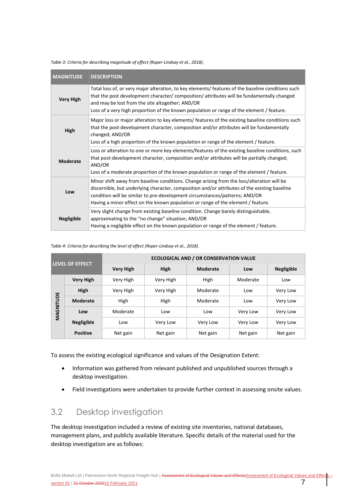| <b>MAGNITUDE</b>  | <b>DESCRIPTION</b>                                                                                                                                                                                                                                                                                                                                             |
|-------------------|----------------------------------------------------------------------------------------------------------------------------------------------------------------------------------------------------------------------------------------------------------------------------------------------------------------------------------------------------------------|
| <b>Very High</b>  | Total loss of, or very major alteration, to key elements/ features of the baseline conditions such<br>that the post development character/composition/attributes will be fundamentally changed<br>and may be lost from the site altogether; AND/OR<br>Loss of a very high proportion of the known population or range of the element / feature.                |
| High              | Major loss or major alteration to key elements/ features of the existing baseline conditions such<br>that the post-development character, composition and/or attributes will be fundamentally<br>changed; AND/OR<br>Loss of a high proportion of the known population or range of the element / feature.                                                       |
| <b>Moderate</b>   | Loss or alteration to one or more key elements/features of the existing baseline conditions, such<br>that post-development character, composition and/or attributes will be partially changed;<br>AND/OR<br>Loss of a moderate proportion of the known population or range of the element / feature.                                                           |
| Low               | Minor shift away from baseline conditions. Change arising from the loss/alteration will be<br>discernible, but underlying character, composition and/or attributes of the existing baseline<br>condition will be similar to pre-development circumstances/patterns; AND/OR<br>Having a minor effect on the known population or range of the element / feature. |
| <b>Negligible</b> | Very slight change from existing baseline condition. Change barely distinguishable,<br>approximating to the "no change" situation; AND/OR<br>Having a negligible effect on the known population or range of the element / feature.                                                                                                                             |

<span id="page-10-1"></span>*Table 3: Criteria for describing magnitude of effect (Roper-Lindsay et al., 2018).*

#### <span id="page-10-2"></span>*Table 4: Criteria for describing the level of effect (Roper-Lindsay et al., 2018).*

| <b>LEVEL OF EFFECT</b> |                   | <b>ECOLOGICAL AND / OR CONSERVATION VALUE</b> |           |                 |          |                   |  |
|------------------------|-------------------|-----------------------------------------------|-----------|-----------------|----------|-------------------|--|
|                        |                   | <b>Very High</b>                              | High      | <b>Moderate</b> | Low      | <b>Negligible</b> |  |
|                        | <b>Very High</b>  | Very High                                     | Very High | High            | Moderate | Low               |  |
| MAGNITUDE              | High              | Very High                                     | Very High | Moderate        | Low      | Very Low          |  |
|                        | <b>Moderate</b>   | High                                          | High      | Moderate        | Low      | Very Low          |  |
|                        | Low               | Moderate                                      | Low       | Low             | Very Low | Very Low          |  |
|                        | <b>Negligible</b> | Low                                           | Very Low  | Very Low        | Very Low | Very Low          |  |
|                        | <b>Positive</b>   | Net gain                                      | Net gain  | Net gain        | Net gain | Net gain          |  |

To assess the existing ecological significance and values of the Designation Extent:

- Information was gathered from relevant published and unpublished sources through a desktop investigation.
- Field investigations were undertaken to provide further context in assessing onsite values.

## <span id="page-10-0"></span>3.2 Desktop investigation

The desktop investigation included a review of existing site inventories, national databases, management plans, and publicly available literature. Specific details of the material used for the desktop investigation are as follows: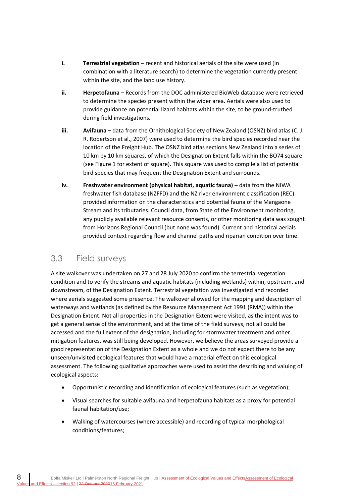- **i. Terrestrial vegetation –** recent and historical aerials of the site were used (in combination with a literature search) to determine the vegetation currently present within the site, and the land use history.
- **ii. Herpetofauna –** Records from the DOC administered BioWeb database were retrieved to determine the species present within the wider area. Aerials were also used to provide guidance on potential lizard habitats within the site, to be ground-truthed during field investigations.
- **iii. Avifauna** data from the Ornithological Society of New Zealand (OSNZ) bird atlas (C. J. R. Robertson et al., 2007) were used to determine the bird species recorded near the location of the Freight Hub. The OSNZ bird atlas sections New Zealand into a series of 10 km by 10 km squares, of which the Designation Extent falls within the BO74 square (see [Figure 1](#page-7-0) for extent of square). This square was used to compile a list of potential bird species that may frequent the Designation Extent and surrounds.
- **iv. Freshwater environment (physical habitat, aquatic fauna) data from the NIWA** freshwater fish database (NZFFD) and the NZ river environment classification (REC) provided information on the characteristics and potential fauna of the Mangaone Stream and its tributaries. Council data, from State of the Environment monitoring, any publicly available relevant resource consents, or other monitoring data was sought from Horizons Regional Council (but none was found). Current and historical aerials provided context regarding flow and channel paths and riparian condition over time.

## <span id="page-11-0"></span>3.3 Field surveys

A site walkover was undertaken on 27 and 28 July 2020 to confirm the terrestrial vegetation condition and to verify the streams and aquatic habitats (including wetlands) within, upstream, and downstream, of the Designation Extent. Terrestrial vegetation was investigated and recorded where aerials suggested some presence. The walkover allowed for the mapping and description of waterways and wetlands (as defined by the Resource Management Act 1991 (RMA)) within the Designation Extent. Not all properties in the Designation Extent were visited, as the intent was to get a general sense of the environment, and at the time of the field surveys, not all could be accessed and the full extent of the designation, including for stormwater treatment and other mitigation features, was still being developed. However, we believe the areas surveyed provide a good representation of the Designation Extent as a whole and we do not expect there to be any unseen/unvisited ecological features that would have a material effect on this ecological assessment. The following qualitative approaches were used to assist the describing and valuing of ecological aspects:

- Opportunistic recording and identification of ecological features (such as vegetation);
- Visual searches for suitable avifauna and herpetofauna habitats as a proxy for potential faunal habitation/use;
- Walking of watercourses (where accessible) and recording of typical morphological conditions/features;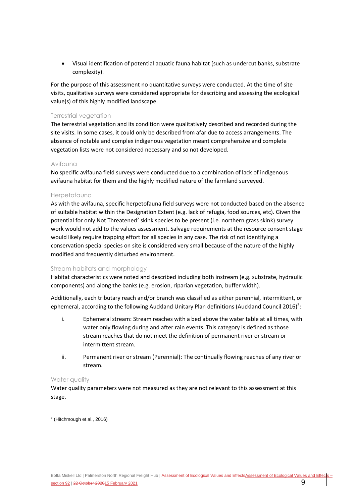• Visual identification of potential aquatic fauna habitat (such as undercut banks, substrate complexity).

For the purpose of this assessment no quantitative surveys were conducted. At the time of site visits, qualitative surveys were considered appropriate for describing and assessing the ecological value(s) of this highly modified landscape.

### Terrestrial vegetation

The terrestrial vegetation and its condition were qualitatively described and recorded during the site visits. In some cases, it could only be described from afar due to access arrangements. The absence of notable and complex indigenous vegetation meant comprehensive and complete vegetation lists were not considered necessary and so not developed.

#### Avifauna

No specific avifauna field surveys were conducted due to a combination of lack of indigenous avifauna habitat for them and the highly modified nature of the farmland surveyed.

### Herpetofauna

As with the avifauna, specific herpetofauna field surveys were not conducted based on the absence of suitable habitat within the Designation Extent (e.g. lack of refugia, food sources, etc). Given the potential for only Not Threatened<sup>2</sup> skink species to be present (i.e. northern grass skink) survey work would not add to the values assessment. Salvage requirements at the resource consent stage would likely require trapping effort for all species in any case. The risk of not identifying a conservation special species on site is considered very small because of the nature of the highly modified and frequently disturbed environment.

#### Stream habitats and morphology

Habitat characteristics were noted and described including both instream (e.g. substrate, hydraulic components) and along the banks (e.g. erosion, riparian vegetation, buffer width).

Additionally, each tributary reach and/or branch was classified as either perennial, intermittent, or ephemeral, according to the following Auckland Unitary Plan definitions (Auckland Council 2016)<sup>3</sup>:

- i. Ephemeral stream: Stream reaches with a bed above the water table at all times, with water only flowing during and after rain events. This category is defined as those stream reaches that do not meet the definition of permanent river or stream or intermittent stream.
- ii. Permanent river or stream (Perennial): The continually flowing reaches of any river or stream.

#### Water quality

Water quality parameters were not measured as they are not relevant to this assessment at this stage.

2 (Hitchmough et al., 2016)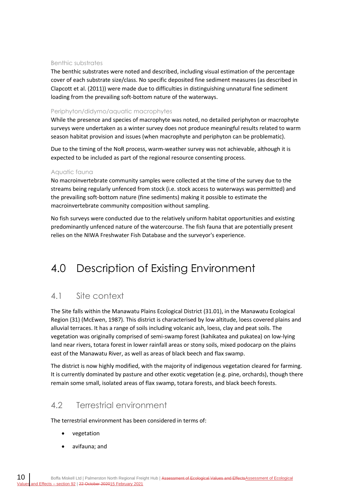#### Benthic substrates

The benthic substrates were noted and described, including visual estimation of the percentage cover of each substrate size/class. No specific deposited fine sediment measures (as described in Clapcott et al. (2011)) were made due to difficulties in distinguishing unnatural fine sediment loading from the prevailing soft-bottom nature of the waterways.

#### Periphyton/didymo/aquatic macrophytes

While the presence and species of macrophyte was noted, no detailed periphyton or macrophyte surveys were undertaken as a winter survey does not produce meaningful results related to warm season habitat provision and issues (when macrophyte and periphyton can be problematic).

Due to the timing of the NoR process, warm-weather survey was not achievable, although it is expected to be included as part of the regional resource consenting process.

#### Aquatic fauna

No macroinvertebrate community samples were collected at the time of the survey due to the streams being regularly unfenced from stock (i.e. stock access to waterways was permitted) and the prevailing soft-bottom nature (fine sediments) making it possible to estimate the macroinvertebrate community composition without sampling.

No fish surveys were conducted due to the relatively uniform habitat opportunities and existing predominantly unfenced nature of the watercourse. The fish fauna that are potentially present relies on the NIWA Freshwater Fish Database and the surveyor's experience.

## <span id="page-13-0"></span>4.0 Description of Existing Environment

## <span id="page-13-1"></span>4.1 Site context

The Site falls within the Manawatu Plains Ecological District (31.01), in the Manawatu Ecological Region (31) (McEwen, 1987). This district is characterised by low altitude, loess covered plains and alluvial terraces. It has a range of soils including volcanic ash, loess, clay and peat soils. The vegetation was originally comprised of semi-swamp forest (kahikatea and pukatea) on low-lying land near rivers, totara forest in lower rainfall areas or stony soils, mixed podocarp on the plains east of the Manawatu River, as well as areas of black beech and flax swamp.

The district is now highly modified, with the majority of indigenous vegetation cleared for farming. It is currently dominated by pasture and other exotic vegetation (e.g. pine, orchards), though there remain some small, isolated areas of flax swamp, totara forests, and black beech forests.

## <span id="page-13-2"></span>4.2 Terrestrial environment

The terrestrial environment has been considered in terms of:

- vegetation
- avifauna; and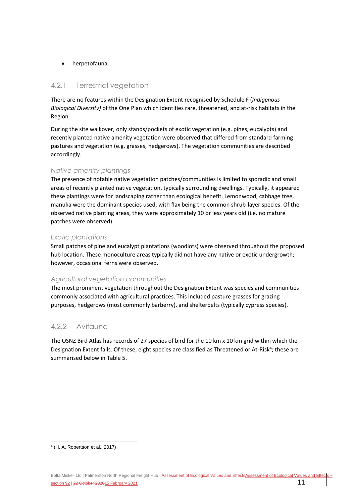### • herpetofauna.

## 4.2.1 Terrestrial vegetation

There are no features within the Designation Extent recognised by Schedule F (*Indigenous Biological Diversity)* of the One Plan which identifies rare, threatened, and at-risk habitats in the Region.

During the site walkover, only stands/pockets of exotic vegetation (e.g. pines, eucalypts) and recently planted native amenity vegetation were observed that differed from standard farming pastures and vegetation (e.g. grasses, hedgerows). The vegetation communities are described accordingly.

## *Native amenity plantings*

The presence of notable native vegetation patches/communities is limited to sporadic and small areas of recently planted native vegetation, typically surrounding dwellings. Typically, it appeared these plantings were for landscaping rather than ecological benefit. Lemonwood, cabbage tree, manuka were the dominant species used, with flax being the common shrub-layer species. Of the observed native planting areas, they were approximately 10 or less years old (i.e. no mature patches were observed).

## *Exotic plantations*

Small patches of pine and eucalypt plantations (woodlots) were observed throughout the proposed hub location. These monoculture areas typically did not have any native or exotic undergrowth; however, occasional ferns were observed.

## *Agricultural vegetation communities*

The most prominent vegetation throughout the Designation Extent was species and communities commonly associated with agricultural practices. This included pasture grasses for grazing purposes, hedgerows (most commonly barberry), and shelterbelts (typically cypress species).

## 4.2.2 Avifauna

The OSNZ Bird Atlas has records of 27 species of bird for the 10 km x 10 km grid within which the Designation Extent falls. Of these, eight species are classified as Threatened or At-Risk<sup>4</sup>; these are summarised below i[n Table 5.](#page-15-0)

<sup>4</sup> (H. A. Robertson et al., 2017)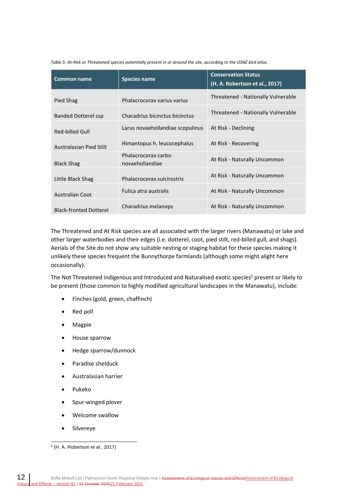<span id="page-15-0"></span>*Table 5: At-Risk or Threatened species potentially present in or around the site, according to the OSNZ bird atlas.*

| <b>Common name</b>            | <b>Species name</b>                    | <b>Conservation Status</b><br>(H. A. Robertson et al., 2017) |
|-------------------------------|----------------------------------------|--------------------------------------------------------------|
| Pied Shag                     | Phalacrocorax varius varius            | Threatened - Nationally Vulnerable                           |
| Banded Dotterel ssp           | Charadrius bicinctus bicinctus         | Threatened - Nationally Vulnerable                           |
| Red-billed Gull               | Larus novaehollandiae scopulinus       | At Risk - Declining                                          |
| Australasian Pied Stilt       | Himantopus h. leucocephalus            | At Risk - Recovering                                         |
| <b>Black Shag</b>             | Phalacrocorax carbo<br>novaehollandiae | At Risk - Naturally Uncommon                                 |
| Little Black Shag             | Phalacrocorax sulcirostris             | At Risk - Naturally Uncommon                                 |
| <b>Australian Coot</b>        | Fulica atra australis                  | At Risk - Naturally Uncommon                                 |
| <b>Black-fronted Dotterel</b> | Charadrius melanops                    | At Risk - Naturally Uncommon                                 |

The Threatened and At Risk species are all associated with the larger rivers (Manawatu) or lake and other larger waterbodies and their edges (i.e. dotterel, coot, pied stilt, red-billed gull, and shags). Aerials of the Site do not show any suitable nesting or staging habitat for these species making it unlikely these species frequent the Bunnythorpe farmlands (although some might alight here occasionally).

The Not Threatened indigenous and Introduced and Naturalised exotic species<sup>5</sup> present or likely to be present (those common to highly modified agricultural landscapes in the Manawatu), include:

- Finches (gold, green, chaffinch)
- Red poll
- Magpie
- House sparrow
- Hedge sparrow/dunnock
- Paradise shelduck
- Australasian harrier
- Pukeko
- Spur-winged plover
- Welcome swallow
- Silvereye

<sup>5</sup> (H. A. Robertson et al., 2017)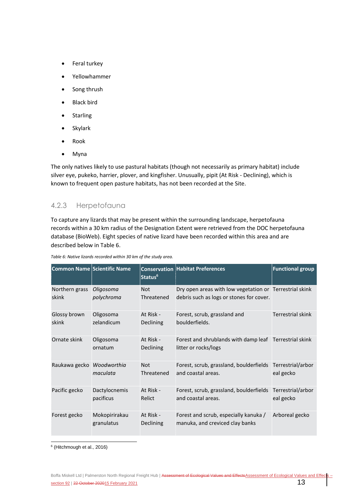- Feral turkey
- Yellowhammer
- Song thrush
- **Black bird**
- **Starling**
- Skylark
- Rook
- Myna

The only natives likely to use pastural habitats (though not necessarily as primary habitat) include silver eye, pukeko, harrier, plover, and kingfisher. Unusually, pipit (At Risk - Declining), which is known to frequent open pasture habitats, has not been recorded at the Site.

## 4.2.3 Herpetofauna

To capture any lizards that may be present within the surrounding landscape, herpetofauna records within a 30 km radius of the Designation Extent were retrieved from the DOC herpetofauna database (BioWeb). Eight species of native lizard have been recorded within this area and are described below in [Table 6.](#page-16-0)

| <b>Common Name Scientific Name</b> |                             | Status <sup>6</sup>           | <b>Conservation Habitat Preferences</b>                                                             | <b>Functional group</b>        |
|------------------------------------|-----------------------------|-------------------------------|-----------------------------------------------------------------------------------------------------|--------------------------------|
| Northern grass<br>skink            | Oligosoma<br>polychroma     | <b>Not</b><br>Threatened      | Dry open areas with low vegetation or Terrestrial skink<br>debris such as logs or stones for cover. |                                |
| Glossy brown<br>skink              | Oligosoma<br>zelandicum     | At Risk -<br><b>Declining</b> | Forest, scrub, grassland and<br>boulderfields.                                                      | <b>Terrestrial skink</b>       |
| Ornate skink                       | Oligosoma<br>ornatum        | At Risk -<br>Declining        | Forest and shrublands with damp leaf Terrestrial skink<br>litter or rocks/logs                      |                                |
| Raukawa gecko Woodworthia          | maculata                    | <b>Not</b><br>Threatened      | Forest, scrub, grassland, boulderfields<br>and coastal areas.                                       | Terrestrial/arbor<br>eal gecko |
| Pacific gecko                      | Dactylocnemis<br>pacificus  | At Risk -<br>Relict           | Forest, scrub, grassland, boulderfields<br>and coastal areas.                                       | Terrestrial/arbor<br>eal gecko |
| Forest gecko                       | Mokopirirakau<br>granulatus | At Risk -<br>Declining        | Forest and scrub, especially kanuka /<br>manuka, and creviced clay banks                            | Arboreal gecko                 |

<span id="page-16-0"></span>*Table 6: Native lizards recorded within 30 km of the study area.*

6 (Hitchmough et al., 2016)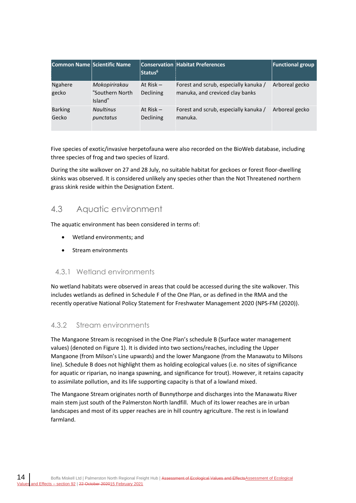| Common Name Scientific Name |                                             | Status <sup>6</sup>             | <b>Conservation Habitat Preferences</b>                                  | <b>Functional group</b> |
|-----------------------------|---------------------------------------------|---------------------------------|--------------------------------------------------------------------------|-------------------------|
| <b>Ngahere</b><br>gecko     | Mokopirirakau<br>"Southern North<br>Island" | At $Risk -$<br>Declining        | Forest and scrub, especially kanuka /<br>manuka, and creviced clay banks | Arboreal gecko          |
| <b>Barking</b><br>Gecko     | <b>Naultinus</b><br>punctatus               | At Risk $-$<br><b>Declining</b> | Forest and scrub, especially kanuka /<br>manuka.                         | Arboreal gecko          |

Five species of exotic/invasive herpetofauna were also recorded on the BioWeb database, including three species of frog and two species of lizard.

During the site walkover on 27 and 28 July, no suitable habitat for geckoes or forest floor-dwelling skinks was observed. It is considered unlikely any species other than the Not Threatened northern grass skink reside within the Designation Extent.

## <span id="page-17-0"></span>4.3 Aquatic environment

The aquatic environment has been considered in terms of:

- Wetland environments; and
- Stream environments

## 4.3.1 Wetland environments

No wetland habitats were observed in areas that could be accessed during the site walkover. This includes wetlands as defined in Schedule F of the One Plan, or as defined in the RMA and the recently operative National Policy Statement for Freshwater Management 2020 (NPS-FM (2020)).

## 4.3.2 Stream environments

The Mangaone Stream is recognised in the One Plan's schedule B (Surface water management values) (denoted o[n Figure 1\)](#page-7-0). It is divided into two sections/reaches, including the Upper Mangaone (from Milson's Line upwards) and the lower Mangaone (from the Manawatu to Milsons line). Schedule B does not highlight them as holding ecological values (i.e. no sites of significance for aquatic or riparian, no inanga spawning, and significance for trout). However, it retains capacity to assimilate pollution, and its life supporting capacity is that of a lowland mixed.

The Mangaone Stream originates north of Bunnythorpe and discharges into the Manawatu River main stem just south of the Palmerston North landfill. Much of its lower reaches are in urban landscapes and most of its upper reaches are in hill country agriculture. The rest is in lowland farmland.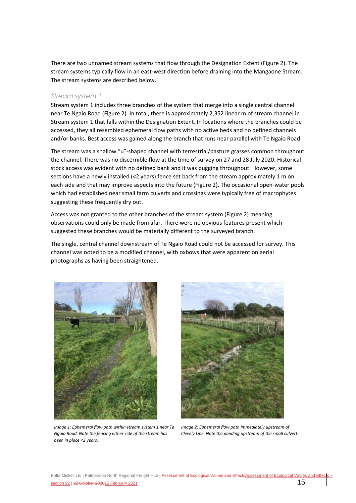There are two unnamed stream systems that flow through the Designation Extent [\(Figure 2\)](#page-21-0). The stream systems typically flow in an east-west direction before draining into the Mangaone Stream. The stream systems are described below.

#### *Stream system 1*

Stream system 1 includes three branches of the system that merge into a single central channel near Te Ngaio Road [\(Figure 2\)](#page-21-0). In total, there is approximately 2,352 linear m of stream channel in Stream system 1 that falls within the Designation Extent. In locations where the branches could be accessed, they all resembled ephemeral flow paths with no active beds and no defined channels and/or banks. Best access was gained along the branch that runs near parallel with Te Ngaio Road.

The stream was a shallow "u"-shaped channel with terrestrial/pasture grasses common throughout the channel. There was no discernible flow at the time of survey on 27 and 28 July 2020. Historical stock access was evident with no defined bank and it was pugging throughout. However, some sections have a newly installed (<2 years) fence set back from the stream approximately 1 m on each side and that may improve aspects into the future [\(Figure 2\)](#page-21-0). The occasional open-water pools which had established near small farm culverts and crossings were typically free of macrophytes suggesting these frequently dry out.

Access was not granted to the other branches of the stream system [\(Figure 2\)](#page-21-0) meaning observations could only be made from afar. There were no obvious features present which suggested these branches would be materially different to the surveyed branch.

The single, central channel downstream of Te Ngaio Road could not be accessed for survey. This channel was noted to be a modified channel, with oxbows that were apparent on aerial photographs as having been straightened.



*Image 1: Ephemeral flow path within stream system 1 near Te Ngaio Road. Note the fencing either side of the stream has been in place <2 years.*



*Image 2: Ephemeral flow path immediately upstream of Clevely Line. Note the ponding upstream of the small culvert.*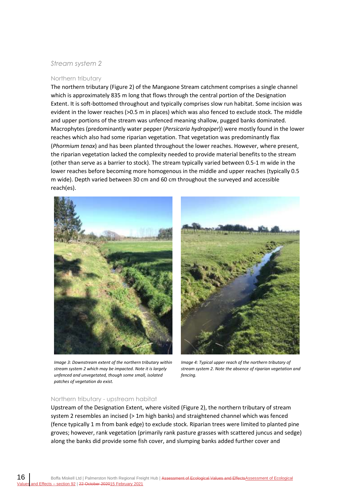### *Stream system 2*

#### Northern tributary

The northern tributary [\(Figure 2\)](#page-21-0) of the Mangaone Stream catchment comprises a single channel which is approximately 835 m long that flows through the central portion of the Designation Extent. It is soft-bottomed throughout and typically comprises slow run habitat. Some incision was evident in the lower reaches (>0.5 m in places) which was also fenced to exclude stock. The middle and upper portions of the stream was unfenced meaning shallow, pugged banks dominated. Macrophytes (predominantly water pepper (*Persicaria hydropiper*)) were mostly found in the lower reaches which also had some riparian vegetation. That vegetation was predominantly flax (*Phormium tenax*) and has been planted throughout the lower reaches. However, where present, the riparian vegetation lacked the complexity needed to provide material benefits to the stream (other than serve as a barrier to stock). The stream typically varied between 0.5-1 m wide in the lower reaches before becoming more homogenous in the middle and upper reaches (typically 0.5 m wide). Depth varied between 30 cm and 60 cm throughout the surveyed and accessible reach(es).



*Image 3: Downstream extent of the northern tributary within stream system 2 which may be impacted. Note it is largely unfenced and unvegetated, though some small, isolated patches of vegetation do exist.*



*Image 4: Typical upper reach of the northern tributary of stream system 2. Note the absence of riparian vegetation and fencing.*

#### Northern tributary - upstream habitat

Upstream of the Designation Extent, where visited [\(Figure 2\)](#page-21-0), the northern tributary of stream system 2 resembles an incised (> 1m high banks) and straightened channel which was fenced (fence typically 1 m from bank edge) to exclude stock. Riparian trees were limited to planted pine groves; however, rank vegetation (primarily rank pasture grasses with scattered juncus and sedge) along the banks did provide some fish cover, and slumping banks added further cover and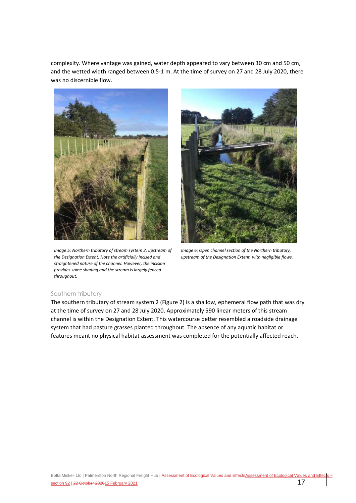complexity. Where vantage was gained, water depth appeared to vary between 30 cm and 50 cm, and the wetted width ranged between 0.5-1 m. At the time of survey on 27 and 28 July 2020, there was no discernible flow.



*Image 5: Northern tributary of stream system 2, upstream of the Designation Extent. Note the artificially incised and straightened nature of the channel. However, the incision provides some shading and the stream is largely fenced throughout.*



*Image 6: Open channel section of the Northern tributary, upstream of the Designation Extent, with negligible flows.*

#### Southern tributary

The southern tributary of stream system 2 [\(Figure 2\)](#page-21-0) is a shallow, ephemeral flow path that was dry at the time of survey on 27 and 28 July 2020. Approximately 590 linear meters of this stream channel is within the Designation Extent. This watercourse better resembled a roadside drainage system that had pasture grasses planted throughout. The absence of any aquatic habitat or features meant no physical habitat assessment was completed for the potentially affected reach.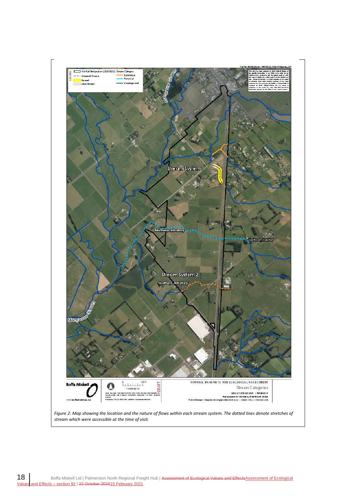<span id="page-21-0"></span>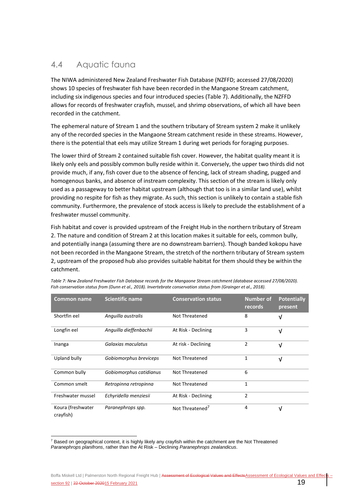## <span id="page-22-0"></span>4.4 Aquatic fauna

The NIWA administered New Zealand Freshwater Fish Database (NZFFD; accessed 27/08/2020) shows 10 species of freshwater fish have been recorded in the Mangaone Stream catchment, including six indigenous species and four introduced species [\(Table 7\)](#page-22-1). Additionally, the NZFFD allows for records of freshwater crayfish, mussel, and shrimp observations, of which all have been recorded in the catchment.

The ephemeral nature of Stream 1 and the southern tributary of Stream system 2 make it unlikely any of the recorded species in the Mangaone Stream catchment reside in these streams. However, there is the potential that eels may utilize Stream 1 during wet periods for foraging purposes.

The lower third of Stream 2 contained suitable fish cover. However, the habitat quality meant it is likely only eels and possibly common bully reside within it. Conversely, the upper two thirds did not provide much, if any, fish cover due to the absence of fencing, lack of stream shading, pugged and homogenous banks, and absence of instream complexity. This section of the stream is likely only used as a passageway to better habitat upstream (although that too is in a similar land use), whilst providing no respite for fish as they migrate. As such, this section is unlikely to contain a stable fish community. Furthermore, the prevalence of stock access is likely to preclude the establishment of a freshwater mussel community.

Fish habitat and cover is provided upstream of the Freight Hub in the northern tributary of Stream 2. The nature and condition of Stream 2 at this location makes it suitable for eels, common bully, and potentially inanga (assuming there are no downstream barriers). Though banded kokopu have not been recorded in the Mangaone Stream, the stretch of the northern tributary of Stream system 2, upstream of the proposed hub also provides suitable habitat for them should they be within the catchment.

| <b>Common name</b>             | <b>Scientific name</b>  | <b>Conservation status</b>  | <b>Number of</b><br>records | <b>Potentially</b><br>present |
|--------------------------------|-------------------------|-----------------------------|-----------------------------|-------------------------------|
| Shortfin eel                   | Anguilla australis      | Not Threatened              | 8                           | V                             |
| Longfin eel                    | Anguilla dieffenbachii  | At Risk - Declining         | 3                           | $\sqrt{ }$                    |
| Inanga                         | Galaxias maculatus      | At risk - Declining         | 2                           | $\sqrt{ }$                    |
| Upland bully                   | Gobiomorphus breviceps  | Not Threatened              | 1                           | $\sqrt{ }$                    |
| Common bully                   | Gobiomorphus catidianus | Not Threatened              | 6                           |                               |
| Common smelt                   | Retropinna retropinna   | Not Threatened              | 1                           |                               |
| Freshwater mussel              | Echyridella menziesii   | At Risk - Declining         | $\overline{2}$              |                               |
| Koura (freshwater<br>crayfish) | Paranephrops spp.       | Not Threatened <sup>7</sup> | 4                           | V                             |

<span id="page-22-1"></span>*Table 7: New Zealand Freshwater Fish Database records for the Mangaone Stream catchment (database accessed 27/08/2020). Fish conservation status from (Dunn et al., 2018). Invertebrate conservation status from (Grainger et al., 2018).*

 $7$  Based on geographical context, it is highly likely any crayfish within the catchment are the Not Threatened *Paranephrops planifrons*, rather than the At Risk – Declining *Paranephrops zealandicus*.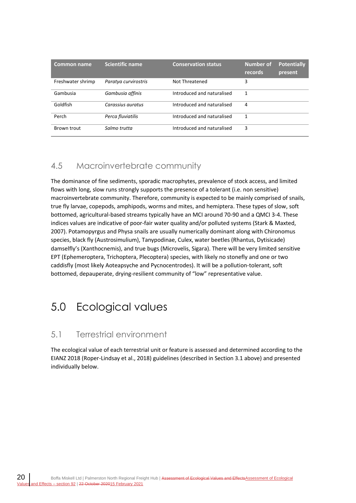| <b>Common name</b> | <b>Scientific name</b> | <b>Conservation status</b> | <b>Number of</b><br>records | <b>Potentially</b><br>present |
|--------------------|------------------------|----------------------------|-----------------------------|-------------------------------|
| Freshwater shrimp  | Paratya curvirostris   | Not Threatened             | 3                           |                               |
| Gambusia           | Gambusia affinis       | Introduced and naturalised |                             |                               |
| Goldfish           | Carassius auratus      | Introduced and naturalised | 4                           |                               |
| Perch              | Perca fluviatilis      | Introduced and naturalised | 1                           |                               |
| Brown trout        | Salmo trutta           | Introduced and naturalised | 3                           |                               |

## <span id="page-23-0"></span>4.5 Macroinvertebrate community

The dominance of fine sediments, sporadic macrophytes, prevalence of stock access, and limited flows with long, slow runs strongly supports the presence of a tolerant (i.e. non sensitive) macroinvertebrate community. Therefore, community is expected to be mainly comprised of snails, true fly larvae, copepods, amphipods, worms and mites, and hemiptera. These types of slow, soft bottomed, agricultural-based streams typically have an MCI around 70-90 and a QMCI 3-4. These indices values are indicative of poor-fair water quality and/or polluted systems (Stark & Maxted, 2007). Potamopyrgus and Physa snails are usually numerically dominant along with Chironomus species, black fly (Austrosimulium), Tanypodinae, Culex, water beetles (Rhantus, Dytisicade) damselfly's (Xanthocnemis), and true bugs (Microvelis, Sigara). There will be very limited sensitive EPT (Ephemeroptera, Trichoptera, Plecoptera) species, with likely no stonefly and one or two caddisfly (most likely Aoteapsyche and Pycnocentrodes). It will be a pollution-tolerant, soft bottomed, depauperate, drying-resilient community of "low" representative value.

## <span id="page-23-1"></span>5.0 Ecological values

## <span id="page-23-2"></span>5.1 Terrestrial environment

The ecological value of each terrestrial unit or feature is assessed and determined according to the EIANZ 2018 (Roper-Lindsay et al., 2018) guidelines (described in Section [3.1](#page-8-3) above) and presented individually below.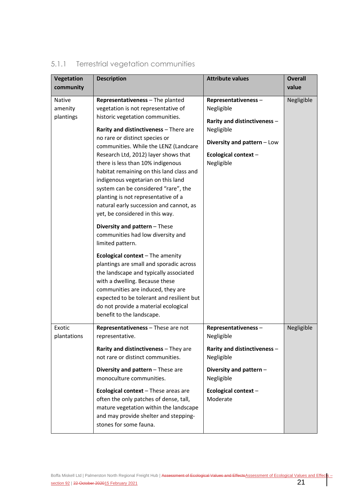| Vegetation                            | <b>Description</b>                                                                                                                                                                                                                                                                                                                                                                                                                                                                                                              | <b>Attribute values</b>                                                                                                                             | <b>Overall</b> |
|---------------------------------------|---------------------------------------------------------------------------------------------------------------------------------------------------------------------------------------------------------------------------------------------------------------------------------------------------------------------------------------------------------------------------------------------------------------------------------------------------------------------------------------------------------------------------------|-----------------------------------------------------------------------------------------------------------------------------------------------------|----------------|
| community                             |                                                                                                                                                                                                                                                                                                                                                                                                                                                                                                                                 |                                                                                                                                                     | value          |
| <b>Native</b><br>amenity<br>plantings | Representativeness - The planted<br>vegetation is not representative of<br>historic vegetation communities.<br>Rarity and distinctiveness - There are<br>no rare or distinct species or<br>communities. While the LENZ (Landcare<br>Research Ltd, 2012) layer shows that<br>there is less than 10% indigenous<br>habitat remaining on this land class and<br>indigenous vegetarian on this land<br>system can be considered "rare", the                                                                                         | Representativeness-<br>Negligible<br>Rarity and distinctiveness -<br>Negligible<br>Diversity and pattern - Low<br>Ecological context-<br>Negligible | Negligible     |
|                                       | planting is not representative of a<br>natural early succession and cannot, as<br>yet, be considered in this way.<br>Diversity and pattern - These<br>communities had low diversity and<br>limited pattern.<br>Ecological context $-$ The amenity<br>plantings are small and sporadic across<br>the landscape and typically associated<br>with a dwelling. Because these<br>communities are induced, they are<br>expected to be tolerant and resilient but<br>do not provide a material ecological<br>benefit to the landscape. |                                                                                                                                                     |                |
| Exotic<br>plantations                 | Representativeness - These are not<br>representative.<br>Rarity and distinctiveness - They are<br>not rare or distinct communities.<br>Diversity and pattern - These are<br>monoculture communities.                                                                                                                                                                                                                                                                                                                            | Representativeness-<br>Negligible<br>Rarity and distinctiveness -<br>Negligible<br>Diversity and pattern -<br>Negligible                            | Negligible     |
|                                       | Ecological context - These areas are<br>often the only patches of dense, tall,<br>mature vegetation within the landscape<br>and may provide shelter and stepping-<br>stones for some fauna.                                                                                                                                                                                                                                                                                                                                     | Ecological context-<br>Moderate                                                                                                                     |                |

## 5.1.1 Terrestrial vegetation communities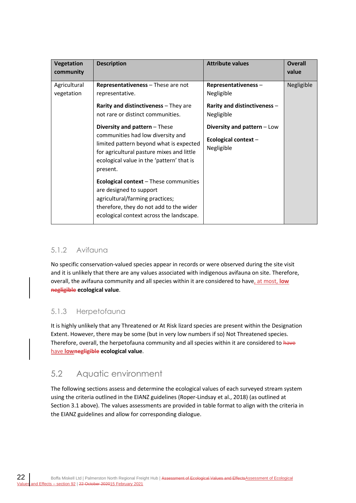| <b>Vegetation</b><br>community | <b>Description</b>                                                                                                                                                                                                  | <b>Attribute values</b>                                          | <b>Overall</b><br>value |
|--------------------------------|---------------------------------------------------------------------------------------------------------------------------------------------------------------------------------------------------------------------|------------------------------------------------------------------|-------------------------|
| Agricultural<br>vegetation     | Representativeness - These are not<br>representative.                                                                                                                                                               | Representativeness-<br>Negligible                                | Negligible              |
|                                | Rarity and distinctiveness - They are<br>not rare or distinct communities.                                                                                                                                          | Rarity and distinctiveness -<br>Negligible                       |                         |
|                                | Diversity and pattern - These<br>communities had low diversity and<br>limited pattern beyond what is expected<br>for agricultural pasture mixes and little<br>ecological value in the 'pattern' that is<br>present. | Diversity and pattern - Low<br>Ecological context-<br>Negligible |                         |
|                                | <b>Ecological context</b> – These communities<br>are designed to support<br>agricultural/farming practices;<br>therefore, they do not add to the wider<br>ecological context across the landscape.                  |                                                                  |                         |

## 5.1.2 Avifauna

No specific conservation-valued species appear in records or were observed during the site visit and it is unlikely that there are any values associated with indigenous avifauna on site. Therefore, overall, the avifauna community and all species within it are considered to have, at most, **low negligible ecological value**.

## 5.1.3 Herpetofauna

It is highly unlikely that any Threatened or At Risk lizard species are present within the Designation Extent. However, there may be some (but in very low numbers if so) Not Threatened species. Therefore, overall, the herpetofauna community and all species within it are considered to have have **lownegligible ecological value**.

## <span id="page-25-0"></span>5.2 Aquatic environment

The following sections assess and determine the ecological values of each surveyed stream system using the criteria outlined in the EIANZ guidelines (Roper-Lindsay et al., 2018) (as outlined at Section [3.1](#page-8-3) above). The values assessments are provided in table format to align with the criteria in the EIANZ guidelines and allow for corresponding dialogue.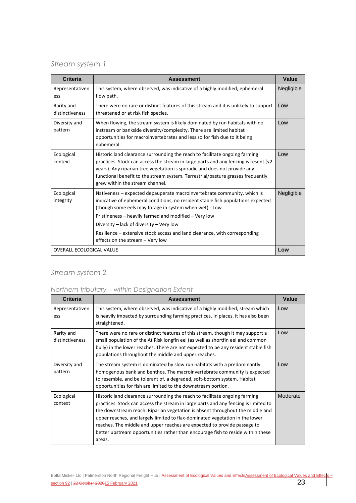## *Stream system 1*

| <b>Criteria</b>                 | <b>Assessment</b>                                                                                                                                                                                                                                                                                                                                                                                                                            | Value      |
|---------------------------------|----------------------------------------------------------------------------------------------------------------------------------------------------------------------------------------------------------------------------------------------------------------------------------------------------------------------------------------------------------------------------------------------------------------------------------------------|------------|
| Representativen<br>ess          | This system, where observed, was indicative of a highly modified, ephemeral<br>flow path.                                                                                                                                                                                                                                                                                                                                                    | Negligible |
| Rarity and<br>distinctiveness   | There were no rare or distinct features of this stream and it is unlikely to support<br>threatened or at risk fish species.                                                                                                                                                                                                                                                                                                                  | Low        |
| Diversity and<br>pattern        | When flowing, the stream system is likely dominated by run habitats with no<br>instream or bankside diversity/complexity. There are limited habitat<br>opportunities for macroinvertebrates and less so for fish due to it being<br>ephemeral.                                                                                                                                                                                               | Low        |
| Ecological<br>context           | Historic land clearance surrounding the reach to facilitate ongoing farming<br>practices. Stock can access the stream in large parts and any fencing is resent (<2<br>years). Any riparian tree vegetation is sporadic and does not provide any<br>functional benefit to the stream system. Terrestrial/pasture grasses frequently<br>grew within the stream channel.                                                                        | Low        |
| Ecological<br>integrity         | Nativeness – expected depauperate macroinvertebrate community, which is<br>indicative of ephemeral conditions, no resident stable fish populations expected<br>(though some eels may forage in system when wet) - Low<br>Pristineness - heavily farmed and modified - Very low<br>Diversity – lack of diversity – Very low<br>Resilience – extensive stock access and land clearance, with corresponding<br>effects on the stream - Very low | Negligible |
| <b>OVERALL ECOLOGICAL VALUE</b> |                                                                                                                                                                                                                                                                                                                                                                                                                                              | Low        |

## *Stream system 2*

## *Northern tributary – within Designation Extent*

| <b>Criteria</b>               | <b>Assessment</b>                                                                                                                                                                                                                                                                                                                                                                                                                                                                                            | Value    |
|-------------------------------|--------------------------------------------------------------------------------------------------------------------------------------------------------------------------------------------------------------------------------------------------------------------------------------------------------------------------------------------------------------------------------------------------------------------------------------------------------------------------------------------------------------|----------|
| Representativen<br>ess        | This system, where observed, was indicative of a highly modified, stream which<br>is heavily impacted by surrounding farming practices. In places, it has also been<br>straightened.                                                                                                                                                                                                                                                                                                                         | Low      |
| Rarity and<br>distinctiveness | There were no rare or distinct features of this stream, though it may support a<br>small population of the At Risk longfin eel (as well as shortfin eel and common<br>bully) in the lower reaches. There are not expected to be any resident stable fish<br>populations throughout the middle and upper reaches.                                                                                                                                                                                             | Low      |
| Diversity and<br>pattern      | The stream system is dominated by slow run habitats with a predominantly<br>homogenous bank and benthos. The macroinvertebrate community is expected<br>to resemble, and be tolerant of, a degraded, soft-bottom system. Habitat<br>opportunities for fish are limited to the downstream portion.                                                                                                                                                                                                            | Low      |
| Ecological<br>context         | Historic land clearance surrounding the reach to facilitate ongoing farming<br>practices. Stock can access the stream in large parts and any fencing is limited to<br>the downstream reach. Riparian vegetation is absent throughout the middle and<br>upper reaches, and largely limited to flax-dominated vegetation in the lower<br>reaches. The middle and upper reaches are expected to provide passage to<br>better upstream opportunities rather than encourage fish to reside within these<br>areas. | Moderate |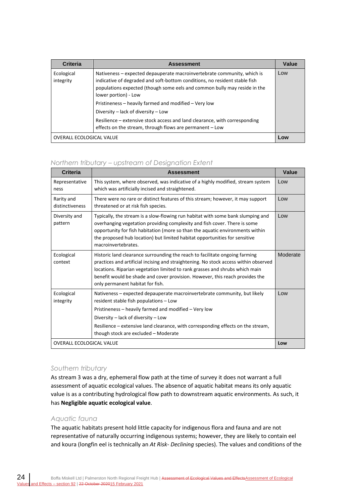| Criteria                        | <b>Assessment</b>                                                                                                                                                                                                                                                                                                                                                                                                                                                                                    | Value |
|---------------------------------|------------------------------------------------------------------------------------------------------------------------------------------------------------------------------------------------------------------------------------------------------------------------------------------------------------------------------------------------------------------------------------------------------------------------------------------------------------------------------------------------------|-------|
| Ecological<br>integrity         | Nativeness - expected depauperate macroinvertebrate community, which is<br>indicative of degraded and soft-bottom conditions, no resident stable fish<br>populations expected (though some eels and common bully may reside in the<br>lower portion) - Low<br>Pristineness - heavily farmed and modified - Very low<br>Diversity - lack of diversity - Low<br>Resilience – extensive stock access and land clearance, with corresponding<br>effects on the stream, through flows are permanent - Low | Low   |
| <b>OVERALL ECOLOGICAL VALUE</b> |                                                                                                                                                                                                                                                                                                                                                                                                                                                                                                      | Low   |

## *Northern tributary – upstream of Designation Extent*

| <b>Criteria</b>                 | <b>Assessment</b>                                                                                                                                                                                                                                                                                                                                                       | Value    |
|---------------------------------|-------------------------------------------------------------------------------------------------------------------------------------------------------------------------------------------------------------------------------------------------------------------------------------------------------------------------------------------------------------------------|----------|
| Representative<br>ness          | This system, where observed, was indicative of a highly modified, stream system<br>which was artificially incised and straightened.                                                                                                                                                                                                                                     | Low      |
| Rarity and<br>distinctiveness   | There were no rare or distinct features of this stream; however, it may support<br>threatened or at risk fish species.                                                                                                                                                                                                                                                  | Low      |
| Diversity and<br>pattern        | Typically, the stream is a slow-flowing run habitat with some bank slumping and<br>overhanging vegetation providing complexity and fish cover. There is some<br>opportunity for fish habitation (more so than the aquatic environments within<br>the proposed hub location) but limited habitat opportunities for sensitive<br>macroinvertebrates.                      | Low      |
| Ecological<br>context           | Historic land clearance surrounding the reach to facilitate ongoing farming<br>practices and artificial incising and straightening. No stock access within observed<br>locations. Riparian vegetation limited to rank grasses and shrubs which main<br>benefit would be shade and cover provision. However, this reach provides the<br>only permanent habitat for fish. | Moderate |
| Ecological<br>integrity         | Nativeness – expected depauperate macroinvertebrate community, but likely<br>resident stable fish populations - Low                                                                                                                                                                                                                                                     | Low      |
|                                 | Pristineness - heavily farmed and modified - Very low                                                                                                                                                                                                                                                                                                                   |          |
|                                 | Diversity – lack of diversity – Low                                                                                                                                                                                                                                                                                                                                     |          |
|                                 | Resilience – extensive land clearance, with corresponding effects on the stream,<br>though stock are excluded - Moderate                                                                                                                                                                                                                                                |          |
| <b>OVERALL ECOLOGICAL VALUE</b> |                                                                                                                                                                                                                                                                                                                                                                         | Low      |

#### *Southern tributary*

As stream 3 was a dry, ephemeral flow path at the time of survey it does not warrant a full assessment of aquatic ecological values. The absence of aquatic habitat means its only aquatic value is as a contributing hydrological flow path to downstream aquatic environments. As such, it has **Negligible aquatic ecological value**.

#### *Aquatic fauna*

The aquatic habitats present hold little capacity for indigenous flora and fauna and are not representative of naturally occurring indigenous systems; however, they are likely to contain eel and koura (longfin eel is technically an *At Risk- Declining* species). The values and conditions of the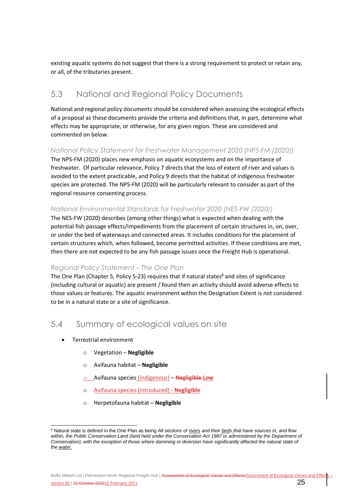existing aquatic systems do not suggest that there is a strong requirement to protect or retain any, or all, of the tributaries present.

## <span id="page-28-0"></span>5.3 National and Regional Policy Documents

National and regional policy documents should be considered when assessing the ecological effects of a proposal as these documents provide the criteria and definitions that, in part, determine what effects may be appropriate, or otherwise, for any given region. These are considered and commented on below.

### *National Policy Statement for Freshwater Management 2020 (NPS-FM (2020))*

The NPS-FM (2020) places new emphasis on aquatic ecosystems and on the importance of freshwater. Of particular relevance, Policy 7 directs that the loss of extent of river and values is avoided to the extent practicable, and Policy 9 directs that the habitat of indigenous freshwater species are protected. The NPS-FM (2020) will be particularly relevant to consider as part of the regional resource consenting process.

## *National Environmental Standards for Freshwater 2020 (NES-FW (2020))*

The NES-FW (2020) describes (among other things) what is expected when dealing with the potential fish passage effects/impediments from the placement of certain structures in, on, over, or under the bed of waterways and connected areas. It includes conditions for the placement of certain structures which, when followed, become permitted activities. If these conditions are met, then there are not expected to be any fish passage issues once the Freight Hub is operational.

## *Regional Policy Statement – The One Plan*

The One Plan (Chapter 5, Policy 5-23) requires that if natural states<sup>8</sup> and sites of significance (including cultural or aquatic) are present / found then an activity should avoid adverse effects to those values or features. The aquatic environment within the Designation Extent is not considered to be in a natural state or a site of significance.

## <span id="page-28-1"></span>5.4 Summary of ecological values on site

- Terrestrial environment
	- o Vegetation **Negligible**
	- o Avifauna habitat **Negligible**
	- o Avifauna species (indigenous) **Negligible Low**
	- o Avifauna species (introduced) **Negligible**
	- o Herpetofauna habitat **Negligible**

Boffa Miskell Ltd | Palmerston North Regional Freight Hub | Assessment of Ecological Values and EffectsAssessment of Ecological Values and Effect section 92 | 22 October 202015 February 2021 25

<sup>8</sup> Natural state is defined in the One Plan as being *All sections of rivers and their beds that have sources in, and flow*  within, the Public Conservation Land (land held under the Conservation Act 1987 or administered by the Department of *Conservation), with the exception of those where damming or diversion have significantly affected the natural state of the water.*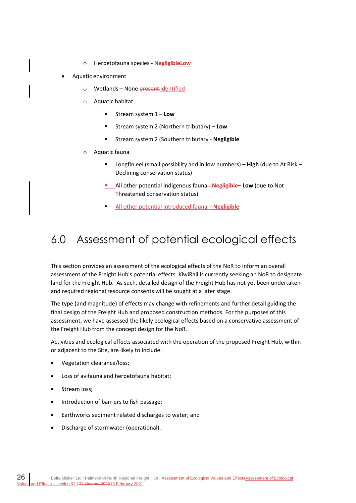- o Herpetofauna species **NegligibleLow**
- Aquatic environment
	- o Wetlands None present identified
	- o Aquatic habitat
		- Stream system 1 **Low**
		- Stream system 2 (Northern tributary) Low
		- Stream system 2 (Southern tributary **Negligible**
	- o Aquatic fauna
		- Longfin eel (small possibility and in low numbers) **High** (due to At Risk Declining conservation status)
		- **E** All other potential indigenous fauna-**Negligible**-Low (due to Not Threatened conservation status)
		- All other potential introduced fauna Negligible

## <span id="page-29-0"></span>6.0 Assessment of potential ecological effects

This section provides an assessment of the ecological effects of the NoR to inform an overall assessment of the Freight Hub's potential effects. KiwiRail is currently seeking an NoR to designate land for the Freight Hub. As such, detailed design of the Freight Hub has not yet been undertaken and required regional resource consents will be sought at a later stage.

The type (and magnitude) of effects may change with refinements and further detail guiding the final design of the Freight Hub and proposed construction methods. For the purposes of this assessment, we have assessed the likely ecological effects based on a conservative assessment of the Freight Hub from the concept design for the NoR.

Activities and ecological effects associated with the operation of the proposed Freight Hub, within or adjacent to the Site, are likely to include:

- Vegetation clearance/loss;
- Loss of avifauna and herpetofauna habitat;
- Stream loss;
- Introduction of barriers to fish passage;
- Earthworks sediment related discharges to water; and
- Discharge of stormwater (operational).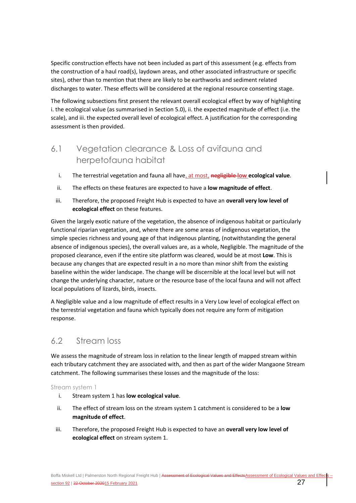Specific construction effects have not been included as part of this assessment (e.g. effects from the construction of a haul road(s), laydown areas, and other associated infrastructure or specific sites), other than to mention that there are likely to be earthworks and sediment related discharges to water. These effects will be considered at the regional resource consenting stage.

The following subsections first present the relevant overall ecological effect by way of highlighting i. the ecological value (as summarised in Sectio[n 5.0\)](#page-23-1), ii. the expected magnitude of effect (i.e. the scale), and iii. the expected overall level of ecological effect. A justification for the corresponding assessment is then provided.

## <span id="page-30-0"></span>6.1 Vegetation clearance & Loss of avifauna and herpetofauna habitat

- i. The terrestrial vegetation and fauna all have, at most, **negligible low ecological value**.
- ii. The effects on these features are expected to have a **low magnitude of effect**.
- iii. Therefore, the proposed Freight Hub is expected to have an **overall very low level of ecological effect** on these features.

Given the largely exotic nature of the vegetation, the absence of indigenous habitat or particularly functional riparian vegetation, and, where there are some areas of indigenous vegetation, the simple species richness and young age of that indigenous planting, (notwithstanding the general absence of indigenous species), the overall values are, as a whole, Negligible. The magnitude of the proposed clearance, even if the entire site platform was cleared, would be at most **Low**. This is because any changes that are expected result in a no more than minor shift from the existing baseline within the wider landscape. The change will be discernible at the local level but will not change the underlying character, nature or the resource base of the local fauna and will not affect local populations of lizards, birds, insects.

A Negligible value and a low magnitude of effect results in a Very Low level of ecological effect on the terrestrial vegetation and fauna which typically does not require any form of mitigation response.

## <span id="page-30-1"></span>6.2 Stream loss

We assess the magnitude of stream loss in relation to the linear length of mapped stream within each tributary catchment they are associated with, and then as part of the wider Mangaone Stream catchment. The following summarises these losses and the magnitude of the loss:

Stream system 1

- i. Stream system 1 has **low ecological value**.
- ii. The effect of stream loss on the stream system 1 catchment is considered to be a **low magnitude of effect**.
- iii. Therefore, the proposed Freight Hub is expected to have an **overall very low level of ecological effect** on stream system 1.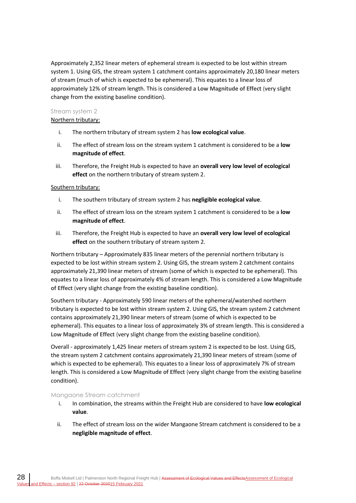Approximately 2,352 linear meters of ephemeral stream is expected to be lost within stream system 1. Using GIS, the stream system 1 catchment contains approximately 20,180 linear meters of stream (much of which is expected to be ephemeral). This equates to a linear loss of approximately 12% of stream length. This is considered a **Low Magnitude of Effect** (very slight change from the existing baseline condition).

#### Stream system 2

### Northern tributary:

- i. The northern tributary of stream system 2 has **low ecological value**.
- ii. The effect of stream loss on the stream system 1 catchment is considered to be a **low magnitude of effect**.
- iii. Therefore, the Freight Hub is expected to have an **overall very low level of ecological effect** on the northern tributary of stream system 2.

## Southern tributary:

- i. The southern tributary of stream system 2 has **negligible ecological value**.
- ii. The effect of stream loss on the stream system 1 catchment is considered to be a **low magnitude of effect**.
- iii. Therefore, the Freight Hub is expected to have an **overall very low level of ecological effect** on the southern tributary of stream system 2.

Northern tributary – Approximately 835 linear meters of the perennial northern tributary is expected to be lost within stream system 2. Using GIS, the stream system 2 catchment contains approximately 21,390 linear meters of stream (some of which is expected to be ephemeral). This equates to a linear loss of approximately 4% of stream length. This is considered a **Low Magnitude of Effect** (very slight change from the existing baseline condition).

Southern tributary - Approximately 590 linear meters of the ephemeral/watershed northern tributary is expected to be lost within stream system 2. Using GIS, the stream system 2 catchment contains approximately 21,390 linear meters of stream (some of which is expected to be ephemeral). This equates to a linear loss of approximately 3% of stream length. This is considered a **Low Magnitude of Effect** (very slight change from the existing baseline condition).

Overall - approximately 1,425 linear meters of stream system 2 is expected to be lost. Using GIS, the stream system 2 catchment contains approximately 21,390 linear meters of stream (some of which is expected to be ephemeral). This equates to a linear loss of approximately 7% of stream length. This is considered a **Low Magnitude of Effect** (very slight change from the existing baseline condition).

#### Mangaone Stream catchment

- i. In combination, the streams within the Freight Hub are considered to have **low ecological value**.
- ii. The effect of stream loss on the wider Mangaone Stream catchment is considered to be a **negligible magnitude of effect**.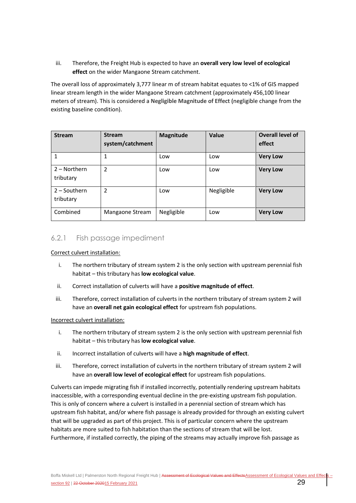iii. Therefore, the Freight Hub is expected to have an **overall very low level of ecological effect** on the wider Mangaone Stream catchment.

The overall loss of approximately 3,777 linear m of stream habitat equates to <1% of GIS mapped linear stream length in the wider Mangaone Stream catchment (approximately 456,100 linear meters of stream). This is considered a **Negligible Magnitude of Effect (**negligible change from the existing baseline condition).

| <b>Stream</b>               | <b>Stream</b><br>system/catchment | Magnitude  | Value      | Overall level of<br>effect |
|-----------------------------|-----------------------------------|------------|------------|----------------------------|
| 1                           | 1                                 | Low        | Low        | <b>Very Low</b>            |
| $2 -$ Northern<br>tributary | $\overline{2}$                    | Low        | Low        | <b>Very Low</b>            |
| $2 -$ Southern<br>tributary | 2                                 | Low        | Negligible | <b>Very Low</b>            |
| Combined                    | Mangaone Stream                   | Negligible | Low        | <b>Very Low</b>            |

## 6.2.1 Fish passage impediment

#### Correct culvert installation:

- i. The northern tributary of stream system 2 is the only section with upstream perennial fish habitat – this tributary has **low ecological value**.
- ii. Correct installation of culverts will have a **positive magnitude of effect**.
- iii. Therefore, correct installation of culverts in the northern tributary of stream system 2 will have an **overall net gain ecological effect** for upstream fish populations.

#### Incorrect culvert installation:

- i. The northern tributary of stream system 2 is the only section with upstream perennial fish habitat – this tributary has **low ecological value**.
- ii. Incorrect installation of culverts will have a **high magnitude of effect**.
- iii. Therefore, correct installation of culverts in the northern tributary of stream system 2 will have an **overall low level of ecological effect** for upstream fish populations.

Culverts can impede migrating fish if installed incorrectly, potentially rendering upstream habitats inaccessible, with a corresponding eventual decline in the pre-existing upstream fish population. This is only of concern where a culvert is installed in a perennial section of stream which has upstream fish habitat, and/or where fish passage is already provided for through an existing culvert that will be upgraded as part of this project. This is of particular concern where the upstream habitats are more suited to fish habitation than the sections of stream that will be lost. Furthermore, if installed correctly, the piping of the streams may actually improve fish passage as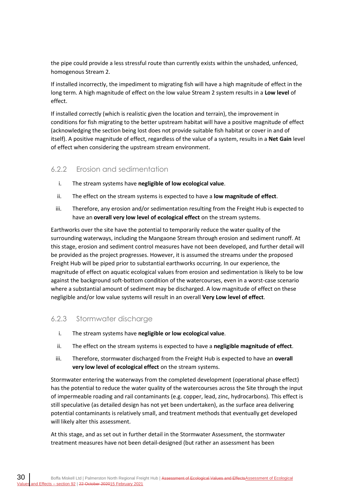the pipe could provide a less stressful route than currently exists within the unshaded, unfenced, homogenous Stream 2.

If installed incorrectly, the impediment to migrating fish will have a high magnitude of effect in the long term. A high magnitude of effect on the low value Stream 2 system results in a **Low level** of effect.

If installed correctly (which is realistic given the location and terrain), the improvement in conditions for fish migrating to the better upstream habitat will have a positive magnitude of effect (acknowledging the section being lost does not provide suitable fish habitat or cover in and of itself). A positive magnitude of effect, regardless of the value of a system, results in a **Net Gain** level of effect when considering the upstream stream environment.

## 6.2.2 Erosion and sedimentation

- i. The stream systems have **negligible of low ecological value**.
- ii. The effect on the stream systems is expected to have a **low magnitude of effect**.
- iii. Therefore, any erosion and/or sedimentation resulting from the Freight Hub is expected to have an **overall very low level of ecological effect** on the stream systems.

Earthworks over the site have the potential to temporarily reduce the water quality of the surrounding waterways, including the Mangaone Stream through erosion and sediment runoff. At this stage, erosion and sediment control measures have not been developed, and further detail will be provided as the project progresses. However, it is assumed the streams under the proposed Freight Hub will be piped prior to substantial earthworks occurring. In our experience, the magnitude of effect on aquatic ecological values from erosion and sedimentation is likely to be low against the background soft-bottom condition of the watercourses, even in a worst-case scenario where a substantial amount of sediment may be discharged. A low magnitude of effect on these negligible and/or low value systems will result in an overall **Very Low level of effect**.

## 6.2.3 Stormwater discharge

- i. The stream systems have **negligible or low ecological value**.
- ii. The effect on the stream systems is expected to have a **negligible magnitude of effect**.
- iii. Therefore, stormwater discharged from the Freight Hub is expected to have an **overall very low level of ecological effect** on the stream systems.

Stormwater entering the waterways from the completed development (operational phase effect) has the potential to reduce the water quality of the watercourses across the Site through the input of impermeable roading and rail contaminants (e.g. copper, lead, zinc, hydrocarbons). This effect is still speculative (as detailed design has not yet been undertaken), as the surface area delivering potential contaminants is relatively small, and treatment methods that eventually get developed will likely alter this assessment.

At this stage, and as set out in further detail in the Stormwater Assessment, the stormwater treatment measures have not been detail-designed (but rather an assessment has been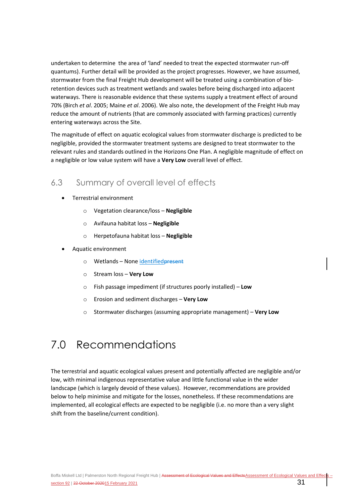undertaken to determine the area of 'land' needed to treat the expected stormwater run-off quantums). Further detail will be provided as the project progresses. However, we have assumed, stormwater from the final Freight Hub development will be treated using a combination of bioretention devices such as treatment wetlands and swales before being discharged into adjacent waterways. There is reasonable evidence that these systems supply a treatment effect of around 70% (Birch *et al*. 2005; Maine *et al*. 2006). We also note, the development of the Freight Hub may reduce the amount of nutrients (that are commonly associated with farming practices) currently entering waterways across the Site.

The magnitude of effect on aquatic ecological values from stormwater discharge is predicted to be negligible, provided the stormwater treatment systems are designed to treat stormwater to the relevant rules and standards outlined in the Horizons One Plan. A negligible magnitude of effect on a negligible or low value system will have a **Very Low** overall level of effect.

## <span id="page-34-0"></span>6.3 Summary of overall level of effects

- Terrestrial environment
	- o Vegetation clearance/loss **Negligible**
	- o Avifauna habitat loss **Negligible**
	- o Herpetofauna habitat loss **Negligible**
- Aquatic environment
	- o Wetlands None identifiedpresent
	- o Stream loss **Very Low**
	- o Fish passage impediment (if structures poorly installed) **Low**
	- o Erosion and sediment discharges **Very Low**
	- o Stormwater discharges (assuming appropriate management) **Very Low**

## <span id="page-34-1"></span>7.0 Recommendations

The terrestrial and aquatic ecological values present and potentially affected are negligible and/or low, with minimal indigenous representative value and little functional value in the wider landscape (which is largely devoid of these values). However, recommendations are provided below to help minimise and mitigate for the losses, nonetheless. If these recommendations are implemented, all ecological effects are expected to be negligible (i.e. no more than a very slight shift from the baseline/current condition).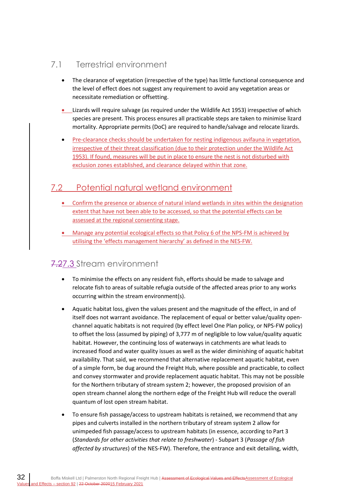## <span id="page-35-0"></span>7.1 Terrestrial environment

- The clearance of vegetation (irrespective of the type) has little functional consequence and the level of effect does not suggest any requirement to avoid any vegetation areas or necessitate remediation or offsetting.
- Lizards will require salvage (as required under the Wildlife Act 1953) irrespective of which species are present. This process ensures all practicable steps are taken to minimise lizard mortality. Appropriate permits (DoC) are required to handle/salvage and relocate lizards.
- Pre-clearance checks should be undertaken for nesting indigenous avifauna in vegetation, irrespective of their threat classification (due to their protection under the Wildlife Act 1953). If found, measures will be put in place to ensure the nest is not disturbed with exclusion zones established, and clearance delayed within that zone.

## <span id="page-35-1"></span>7.2 Potential natural wetland environment

- Confirm the presence or absence of natural inland wetlands in sites within the designation extent that have not been able to be accessed, so that the potential effects can be assessed at the regional consenting stage.
- Manage any potential ecological effects so that Policy 6 of the NPS-FM is achieved by utilising the 'effects management hierarchy' as defined in the NES-FW.

## <span id="page-35-2"></span>7.27.3 Stream environment

- To minimise the effects on any resident fish, efforts should be made to salvage and relocate fish to areas of suitable refugia outside of the affected areas prior to any works occurring within the stream environment(s).
- Aquatic habitat loss, given the values present and the magnitude of the effect, in and of itself does not warrant avoidance. The replacement of equal or better value/quality openchannel aquatic habitats is not required (by effect level One Plan policy, or NPS-FW policy) to offset the loss (assumed by piping) of 3,777 m of negligible to low value/quality aquatic habitat. However, the continuing loss of waterways in catchments are what leads to increased flood and water quality issues as well as the wider diminishing of aquatic habitat availability. That said, we recommend that alternative replacement aquatic habitat, even of a simple form, be dug around the Freight Hub, where possible and practicable, to collect and convey stormwater and provide replacement aquatic habitat. This may not be possible for the Northern tributary of stream system 2; however, the proposed provision of an open stream channel along the northern edge of the Freight Hub will reduce the overall quantum of lost open stream habitat.
- To ensure fish passage/access to upstream habitats is retained, we recommend that any pipes and culverts installed in the northern tributary of stream system 2 allow for unimpeded fish passage/access to upstream habitats (in essence, according to Part 3 (*Standards for other activities that relate to freshwater*) - Subpart 3 (*Passage of fish affected by structures*) of the NES-FW). Therefore, the entrance and exit detailing, width,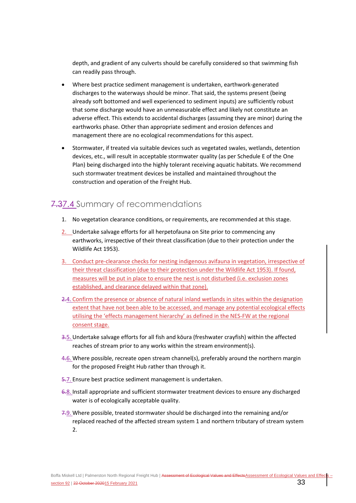depth, and gradient of any culverts should be carefully considered so that swimming fish can readily pass through.

- Where best practice sediment management is undertaken, earthwork-generated discharges to the waterways should be minor. That said, the systems present (being already soft bottomed and well experienced to sediment inputs) are sufficiently robust that some discharge would have an unmeasurable effect and likely not constitute an adverse effect. This extends to accidental discharges (assuming they are minor) during the earthworks phase. Other than appropriate sediment and erosion defences and management there are no ecological recommendations for this aspect.
- Stormwater, if treated via suitable devices such as vegetated swales, wetlands, detention devices, etc., will result in acceptable stormwater quality (as per Schedule E of the One Plan) being discharged into the highly tolerant receiving aquatic habitats. We recommend such stormwater treatment devices be installed and maintained throughout the construction and operation of the Freight Hub.

## <span id="page-36-0"></span>7.37.4 Summary of recommendations

- 1. No vegetation clearance conditions, or requirements, are recommended at this stage.
- 2. Undertake salvage efforts for all herpetofauna on Site prior to commencing any earthworks, irrespective of their threat classification (due to their protection under the Wildlife Act 1953).
- 3. Conduct pre-clearance checks for nesting indigenous avifauna in vegetation, irrespective of their threat classification (due to their protection under the Wildlife Act 1953). If found, measures will be put in place to ensure the nest is not disturbed (i.e. exclusion zones established, and clearance delayed within that zone).
- 2.4. Confirm the presence or absence of natural inland wetlands in sites within the designation extent that have not been able to be accessed, and manage any potential ecological effects utilising the 'effects management hierarchy' as defined in the NES-FW at the regional consent stage.
- 3.5. Undertake salvage efforts for all fish and kōura (freshwater crayfish) within the affected reaches of stream prior to any works within the stream environment(s).
- 4.6. Where possible, recreate open stream channel(s), preferably around the northern margin for the proposed Freight Hub rather than through it.
- 5.7. Ensure best practice sediment management is undertaken.
- 6.8. Install appropriate and sufficient stormwater treatment devices to ensure any discharged water is of ecologically acceptable quality.
- 7.9. Where possible, treated stormwater should be discharged into the remaining and/or replaced reached of the affected stream system 1 and northern tributary of stream system 2.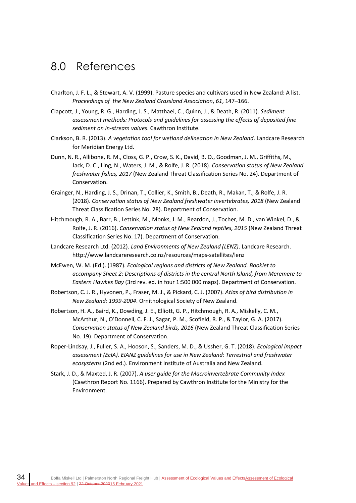## <span id="page-37-0"></span>8.0 References

- Charlton, J. F. L., & Stewart, A. V. (1999). Pasture species and cultivars used in New Zealand: A list. *Proceedings of the New Zealand Grassland Association*, *61*, 147–166.
- Clapcott, J., Young, R. G., Harding, J. S., Matthaei, C., Quinn, J., & Death, R. (2011). *Sediment assessment methods: Protocols and guidelines for assessing the effects of deposited fine sediment on in-stream values*. Cawthron Institute.
- Clarkson, B. R. (2013). *A vegetation tool for wetland delineation in New Zealand*. Landcare Research for Meridian Energy Ltd.
- Dunn, N. R., Allibone, R. M., Closs, G. P., Crow, S. K., David, B. O., Goodman, J. M., Griffiths, M., Jack, D. C., Ling, N., Waters, J. M., & Rolfe, J. R. (2018). *Conservation status of New Zealand freshwater fishes, 2017* (New Zealand Threat Classification Series No. 24). Department of Conservation.
- Grainger, N., Harding, J. S., Drinan, T., Collier, K., Smith, B., Death, R., Makan, T., & Rolfe, J. R. (2018). *Conservation status of New Zealand freshwater invertebrates, 2018* (New Zealand Threat Classification Series No. 28). Department of Conservation.
- Hitchmough, R. A., Barr, B., Lettink, M., Monks, J. M., Reardon, J., Tocher, M. D., van Winkel, D., & Rolfe, J. R. (2016). *Conservation status of New Zealand reptiles, 2015* (New Zealand Threat Classification Series No. 17). Department of Conservation.
- Landcare Research Ltd. (2012). *Land Environments of New Zealand (LENZ)*. Landcare Research. http://www.landcareresearch.co.nz/resources/maps-satellites/lenz
- McEwen, W. M. (Ed.). (1987). *Ecological regions and districts of New Zealand. Booklet to accompany Sheet 2: Descriptions of districts in the central North Island, from Meremere to Eastern Hawkes Bay* (3rd rev. ed. in four 1:500 000 maps). Department of Conservation.
- Robertson, C. J. R., Hyvonen, P., Fraser, M. J., & Pickard, C. J. (2007). *Atlas of bird distribution in New Zealand: 1999-2004*. Ornithological Society of New Zealand.
- Robertson, H. A., Baird, K., Dowding, J. E., Elliott, G. P., Hitchmough, R. A., Miskelly, C. M., McArthur, N., O'Donnell, C. F. J., Sagar, P. M., Scofield, R. P., & Taylor, G. A. (2017). *Conservation status of New Zealand birds, 2016* (New Zealand Threat Classification Series No. 19). Department of Conservation.
- Roper-Lindsay, J., Fuller, S. A., Hooson, S., Sanders, M. D., & Ussher, G. T. (2018). *Ecological impact assessment (EcIA). EIANZ guidelines for use in New Zealand: Terrestrial and freshwater ecosystems* (2nd ed.). Environment Institute of Australia and New Zealand.
- Stark, J. D., & Maxted, J. R. (2007). *A user guide for the Macroinvertebrate Community Index* (Cawthron Report No. 1166). Prepared by Cawthron Institute for the Ministry for the Environment.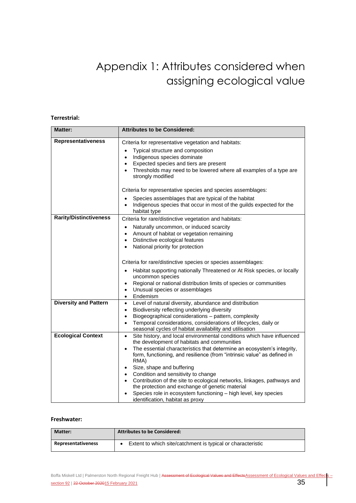## Appendix 1: Attributes considered when assigning ecological value

#### **Terrestrial:**

| <b>Matter:</b>                | <b>Attributes to be Considered:</b>                                                                                                            |
|-------------------------------|------------------------------------------------------------------------------------------------------------------------------------------------|
| <b>Representativeness</b>     | Criteria for representative vegetation and habitats:                                                                                           |
|                               | Typical structure and composition<br>$\bullet$                                                                                                 |
|                               | Indigenous species dominate<br>$\bullet$                                                                                                       |
|                               | Expected species and tiers are present<br>$\bullet$                                                                                            |
|                               | Thresholds may need to be lowered where all examples of a type are<br>strongly modified                                                        |
|                               | Criteria for representative species and species assemblages:                                                                                   |
|                               | Species assemblages that are typical of the habitat                                                                                            |
|                               | Indigenous species that occur in most of the guilds expected for the<br>habitat type                                                           |
| <b>Rarity/Distinctiveness</b> | Criteria for rare/distinctive vegetation and habitats:                                                                                         |
|                               | Naturally uncommon, or induced scarcity<br>$\bullet$                                                                                           |
|                               | Amount of habitat or vegetation remaining<br>$\bullet$                                                                                         |
|                               | Distinctive ecological features<br>$\bullet$                                                                                                   |
|                               | National priority for protection<br>$\bullet$                                                                                                  |
|                               | Criteria for rare/distinctive species or species assemblages:                                                                                  |
|                               | Habitat supporting nationally Threatened or At Risk species, or locally<br>uncommon species                                                    |
|                               | Regional or national distribution limits of species or communities<br>$\bullet$                                                                |
|                               | Unusual species or assemblages<br>$\bullet$                                                                                                    |
|                               | Endemism<br>$\bullet$                                                                                                                          |
| <b>Diversity and Pattern</b>  | Level of natural diversity, abundance and distribution<br>$\bullet$                                                                            |
|                               | Biodiversity reflecting underlying diversity<br>$\bullet$                                                                                      |
|                               | Biogeographical considerations - pattern, complexity<br>$\bullet$                                                                              |
|                               | Temporal considerations, considerations of lifecycles, daily or<br>$\bullet$                                                                   |
| <b>Ecological Context</b>     | seasonal cycles of habitat availability and utilisation<br>Site history, and local environmental conditions which have influenced<br>$\bullet$ |
|                               | the development of habitats and communities                                                                                                    |
|                               | The essential characteristics that determine an ecosystem's integrity,                                                                         |
|                               | form, functioning, and resilience (from "intrinsic value" as defined in<br>RMA)                                                                |
|                               | Size, shape and buffering<br>$\bullet$                                                                                                         |
|                               | Condition and sensitivity to change<br>$\bullet$                                                                                               |
|                               | Contribution of the site to ecological networks, linkages, pathways and                                                                        |
|                               | the protection and exchange of genetic material                                                                                                |
|                               | Species role in ecosystem functioning - high level, key species<br>identification, habitat as proxy                                            |

#### **Freshwater:**

| <b>Matter:</b>     | <b>Attributes to be Considered:</b>                         |
|--------------------|-------------------------------------------------------------|
| Representativeness | Extent to which site/catchment is typical or characteristic |

Boffa Miskell Ltd | Palmerston North Regional Freight Hub | Assessment of Ecological Values and Effects Assessment of Ecological Values and Effects section 92 | <del>22 October 2020</del>15 February 2021 35